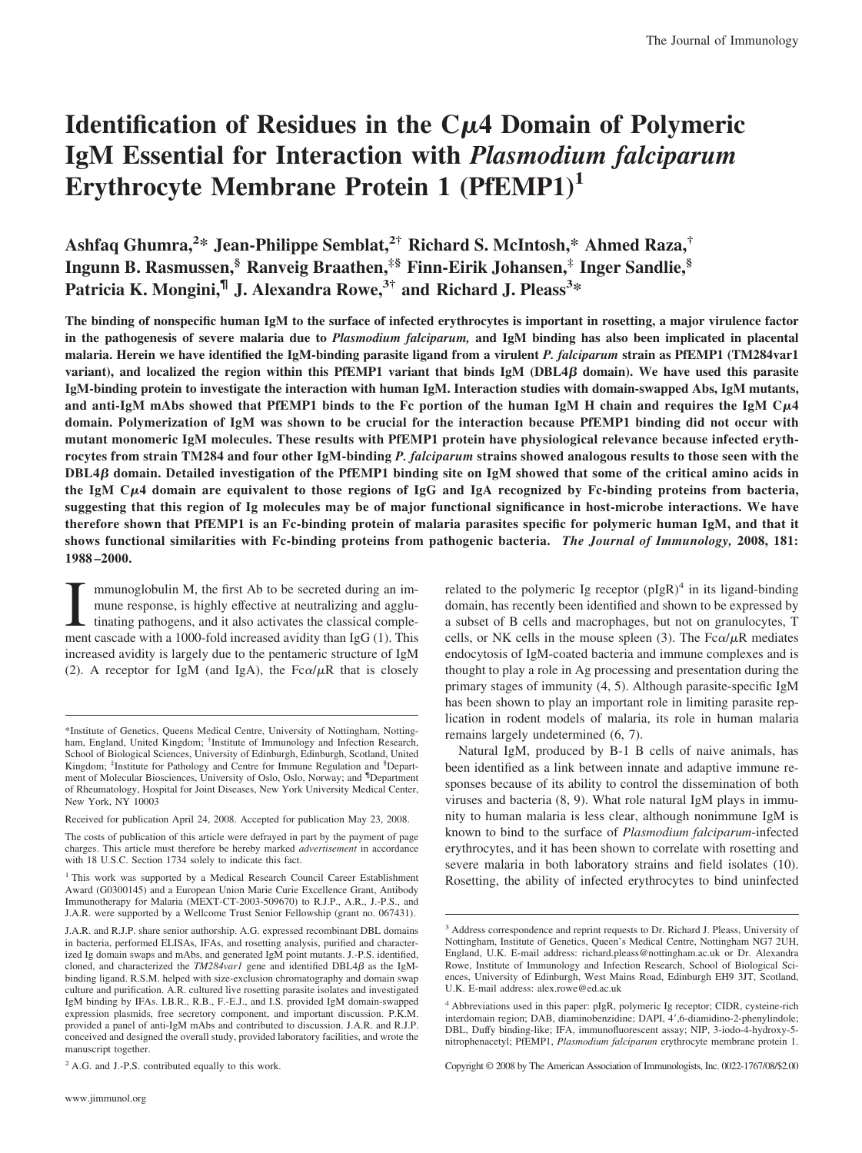# **Identification of Residues in the C4 Domain of Polymeric IgM Essential for Interaction with** *Plasmodium falciparum* **Erythrocyte Membrane Protein 1 (PfEMP1)<sup>1</sup>**

**Ashfaq Ghumra,2 \* Jean-Philippe Semblat,2† Richard S. McIntosh,\* Ahmed Raza,† Ingunn B. Rasmussen,§ Ranveig Braathen,‡§ Finn-Eirik Johansen,‡ Inger Sandlie,§** Patricia K. Mongini,<sup>¶</sup> J. Alexandra Rowe,<sup>3†</sup> and Richard J. Pleass<sup>3</sup>\*

**The binding of nonspecific human IgM to the surface of infected erythrocytes is important in rosetting, a major virulence factor in the pathogenesis of severe malaria due to** *Plasmodium falciparum,* **and IgM binding has also been implicated in placental malaria. Herein we have identified the IgM-binding parasite ligand from a virulent** *P. falciparum* **strain as PfEMP1 (TM284var1**  $v$ ariant), and localized the region within this PfEMP1 variant that binds IgM (DBL4 $\beta$  domain). We have used this parasite **IgM-binding protein to investigate the interaction with human IgM. Interaction studies with domain-swapped Abs, IgM mutants, and anti-IgM mAbs showed that PfEMP1 binds to the Fc portion of the human IgM H chain and requires the IgM C4 domain. Polymerization of IgM was shown to be crucial for the interaction because PfEMP1 binding did not occur with mutant monomeric IgM molecules. These results with PfEMP1 protein have physiological relevance because infected erythrocytes from strain TM284 and four other IgM-binding** *P. falciparum* **strains showed analogous results to those seen with the DBL4**- **domain. Detailed investigation of the PfEMP1 binding site on IgM showed that some of the critical amino acids in the IgM C4 domain are equivalent to those regions of IgG and IgA recognized by Fc-binding proteins from bacteria, suggesting that this region of Ig molecules may be of major functional significance in host-microbe interactions. We have therefore shown that PfEMP1 is an Fc-binding protein of malaria parasites specific for polymeric human IgM, and that it shows functional similarities with Fc-binding proteins from pathogenic bacteria.** *The Journal of Immunology,* **2008, 181: 1988 –2000.**

I mmunoglobulin M, the first Ab to be secreted during an im-<br>mune response, is highly effective at neutralizing and agglu-<br>tinating pathogens, and it also activates the classical comple-<br>ment cascade with a 1000-fold incre mmunoglobulin M, the first Ab to be secreted during an immune response, is highly effective at neutralizing and agglutinating pathogens, and it also activates the classical compleincreased avidity is largely due to the pentameric structure of IgM (2). A receptor for IgM (and IgA), the  $Fc\alpha/\mu R$  that is closely

related to the polymeric Ig receptor  $(pIgR)^4$  in its ligand-binding domain, has recently been identified and shown to be expressed by a subset of B cells and macrophages, but not on granulocytes, T cells, or NK cells in the mouse spleen (3). The  $Fc\alpha/\mu R$  mediates endocytosis of IgM-coated bacteria and immune complexes and is thought to play a role in Ag processing and presentation during the primary stages of immunity (4, 5). Although parasite-specific IgM has been shown to play an important role in limiting parasite replication in rodent models of malaria, its role in human malaria remains largely undetermined (6, 7).

Natural IgM, produced by B-1 B cells of naive animals, has been identified as a link between innate and adaptive immune responses because of its ability to control the dissemination of both viruses and bacteria (8, 9). What role natural IgM plays in immunity to human malaria is less clear, although nonimmune IgM is known to bind to the surface of *Plasmodium falciparum*-infected erythrocytes, and it has been shown to correlate with rosetting and severe malaria in both laboratory strains and field isolates (10). Rosetting, the ability of infected erythrocytes to bind uninfected

Copyright © 2008 by The American Association of Immunologists, Inc. 0022-1767/08/\$2.00

<sup>\*</sup>Institute of Genetics, Queens Medical Centre, University of Nottingham, Nottingham, England, United Kingdom; <sup>†</sup>Institute of Immunology and Infection Research, School of Biological Sciences, University of Edinburgh, Edinburgh, Scotland, United Kingdom; <sup>‡</sup>Institute for Pathology and Centre for Immune Regulation and <sup>§</sup>Department of Molecular Biosciences, University of Oslo, Oslo, Norway; and <sup>¶</sup>Department of Rheumatology, Hospital for Joint Diseases, New York University Medical Center, New York, NY 10003

Received for publication April 24, 2008. Accepted for publication May 23, 2008.

The costs of publication of this article were defrayed in part by the payment of page charges. This article must therefore be hereby marked *advertisement* in accordance with 18 U.S.C. Section 1734 solely to indicate this fact.

<sup>&</sup>lt;sup>1</sup> This work was supported by a Medical Research Council Career Establishment Award (G0300145) and a European Union Marie Curie Excellence Grant, Antibody Immunotherapy for Malaria (MEXT-CT-2003-509670) to R.J.P., A.R., J.-P.S., and J.A.R. were supported by a Wellcome Trust Senior Fellowship (grant no. 067431).

J.A.R. and R.J.P. share senior authorship. A.G. expressed recombinant DBL domains in bacteria, performed ELISAs, IFAs, and rosetting analysis, purified and characterized Ig domain swaps and mAbs, and generated IgM point mutants. J.-P.S. identified, cloned, and characterized the  $TM284var1$  gene and identified  $DBL4\beta$  as the IgMbinding ligand. R.S.M. helped with size-exclusion chromatography and domain swap culture and purification. A.R. cultured live rosetting parasite isolates and investigated IgM binding by IFAs. I.B.R., R.B., F.-E.J., and I.S. provided IgM domain-swapped expression plasmids, free secretory component, and important discussion. P.K.M. provided a panel of anti-IgM mAbs and contributed to discussion. J.A.R. and R.J.P. conceived and designed the overall study, provided laboratory facilities, and wrote the manuscript together.

<sup>&</sup>lt;sup>2</sup> A.G. and J.-P.S. contributed equally to this work.

<sup>3</sup> Address correspondence and reprint requests to Dr. Richard J. Pleass, University of Nottingham, Institute of Genetics, Queen's Medical Centre, Nottingham NG7 2UH, England, U.K. E-mail address: richard.pleass@nottingham.ac.uk or Dr. Alexandra Rowe, Institute of Immunology and Infection Research, School of Biological Sciences, University of Edinburgh, West Mains Road, Edinburgh EH9 3JT, Scotland, U.K. E-mail address: alex.rowe@ed.ac.uk

<sup>4</sup> Abbreviations used in this paper: pIgR, polymeric Ig receptor; CIDR, cysteine-rich interdomain region; DAB, diaminobenzidine; DAPI, 4',6-diamidino-2-phenylindole; DBL, Duffy binding-like; IFA, immunofluorescent assay; NIP, 3-iodo-4-hydroxy-5 nitrophenacetyl; PfEMP1, *Plasmodium falciparum* erythrocyte membrane protein 1.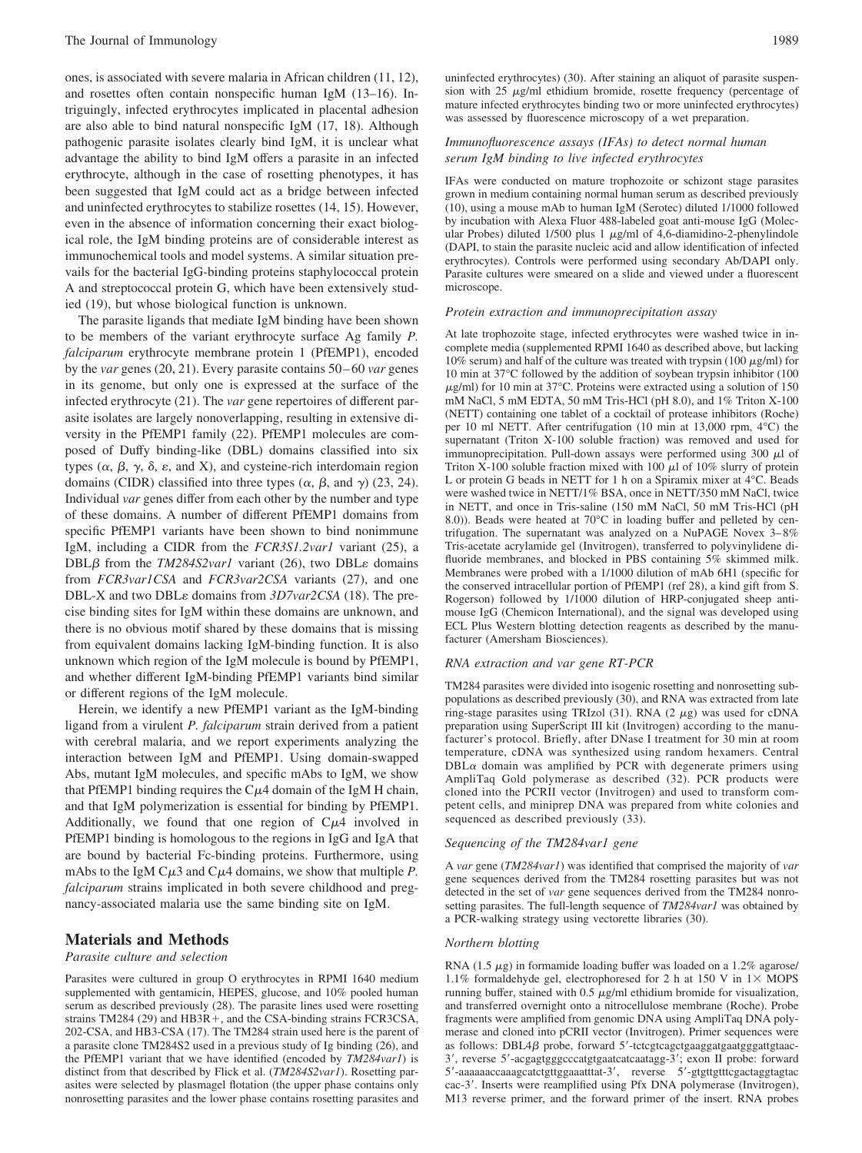ones, is associated with severe malaria in African children (11, 12), and rosettes often contain nonspecific human IgM (13–16). Intriguingly, infected erythrocytes implicated in placental adhesion are also able to bind natural nonspecific IgM (17, 18). Although pathogenic parasite isolates clearly bind IgM, it is unclear what advantage the ability to bind IgM offers a parasite in an infected erythrocyte, although in the case of rosetting phenotypes, it has been suggested that IgM could act as a bridge between infected and uninfected erythrocytes to stabilize rosettes (14, 15). However, even in the absence of information concerning their exact biological role, the IgM binding proteins are of considerable interest as immunochemical tools and model systems. A similar situation prevails for the bacterial IgG-binding proteins staphylococcal protein A and streptococcal protein G, which have been extensively studied (19), but whose biological function is unknown.

The parasite ligands that mediate IgM binding have been shown to be members of the variant erythrocyte surface Ag family *P. falciparum* erythrocyte membrane protein 1 (PfEMP1), encoded by the *var* genes (20, 21). Every parasite contains 50 – 60 *var* genes in its genome, but only one is expressed at the surface of the infected erythrocyte (21). The *var* gene repertoires of different parasite isolates are largely nonoverlapping, resulting in extensive diversity in the PfEMP1 family (22). PfEMP1 molecules are composed of Duffy binding-like (DBL) domains classified into six types  $(\alpha, \beta, \gamma, \delta, \varepsilon, \text{ and } X)$ , and cysteine-rich interdomain region domains (CIDR) classified into three types  $(\alpha, \beta, \text{ and } \gamma)$  (23, 24). Individual *var* genes differ from each other by the number and type of these domains. A number of different PfEMP1 domains from specific PfEMP1 variants have been shown to bind nonimmune IgM, including a CIDR from the *FCR3S1.2var1* variant (25), a DBL $\beta$  from the *TM284S2var1* variant (26), two DBL $\varepsilon$  domains from *FCR3var1CSA* and *FCR3var2CSA* variants (27), and one DBL-X and two DBL<sub>8</sub> domains from *3D7var2CSA* (18). The precise binding sites for IgM within these domains are unknown, and there is no obvious motif shared by these domains that is missing from equivalent domains lacking IgM-binding function. It is also unknown which region of the IgM molecule is bound by PfEMP1, and whether different IgM-binding PfEMP1 variants bind similar or different regions of the IgM molecule.

Herein, we identify a new PfEMP1 variant as the IgM-binding ligand from a virulent *P. falciparum* strain derived from a patient with cerebral malaria, and we report experiments analyzing the interaction between IgM and PfEMP1. Using domain-swapped Abs, mutant IgM molecules, and specific mAbs to IgM, we show that PfEMP1 binding requires the  $C\mu$ 4 domain of the IgM H chain, and that IgM polymerization is essential for binding by PfEMP1. Additionally, we found that one region of  $C\mu A$  involved in PfEMP1 binding is homologous to the regions in IgG and IgA that are bound by bacterial Fc-binding proteins. Furthermore, using mAbs to the IgM  $C\mu$ 3 and  $C\mu$ 4 domains, we show that multiple *P*. *falciparum* strains implicated in both severe childhood and pregnancy-associated malaria use the same binding site on IgM.

# **Materials and Methods**

## *Parasite culture and selection*

Parasites were cultured in group O erythrocytes in RPMI 1640 medium supplemented with gentamicin, HEPES, glucose, and 10% pooled human serum as described previously (28). The parasite lines used were rosetting strains TM284 (29) and HB3R +, and the CSA-binding strains FCR3CSA, 202-CSA, and HB3-CSA (17). The TM284 strain used here is the parent of a parasite clone TM284S2 used in a previous study of Ig binding (26), and the PfEMP1 variant that we have identified (encoded by *TM284var1*) is distinct from that described by Flick et al. (*TM284S2var1*). Rosetting parasites were selected by plasmagel flotation (the upper phase contains only nonrosetting parasites and the lower phase contains rosetting parasites and

uninfected erythrocytes) (30). After staining an aliquot of parasite suspension with  $25 \mu g/ml$  ethidium bromide, rosette frequency (percentage of mature infected erythrocytes binding two or more uninfected erythrocytes) was assessed by fluorescence microscopy of a wet preparation.

## *Immunofluorescence assays (IFAs) to detect normal human serum IgM binding to live infected erythrocytes*

IFAs were conducted on mature trophozoite or schizont stage parasites grown in medium containing normal human serum as described previously (10), using a mouse mAb to human IgM (Serotec) diluted 1/1000 followed by incubation with Alexa Fluor 488-labeled goat anti-mouse IgG (Molecular Probes) diluted  $1/500$  plus 1  $\mu$ g/ml of 4,6-diamidino-2-phenylindole (DAPI, to stain the parasite nucleic acid and allow identification of infected erythrocytes). Controls were performed using secondary Ab/DAPI only. Parasite cultures were smeared on a slide and viewed under a fluorescent microscope.

#### *Protein extraction and immunoprecipitation assay*

At late trophozoite stage, infected erythrocytes were washed twice in incomplete media (supplemented RPMI 1640 as described above, but lacking 10% serum) and half of the culture was treated with trypsin (100  $\mu$ g/ml) for 10 min at 37°C followed by the addition of soybean trypsin inhibitor (100  $\mu$ g/ml) for 10 min at 37°C. Proteins were extracted using a solution of 150 mM NaCl, 5 mM EDTA, 50 mM Tris-HCl (pH 8.0), and 1% Triton X-100 (NETT) containing one tablet of a cocktail of protease inhibitors (Roche) per 10 ml NETT. After centrifugation (10 min at 13,000 rpm, 4°C) the supernatant (Triton X-100 soluble fraction) was removed and used for immunoprecipitation. Pull-down assays were performed using  $300 \mu l$  of Triton X-100 soluble fraction mixed with 100  $\mu$ l of 10% slurry of protein L or protein G beads in NETT for 1 h on a Spiramix mixer at 4°C. Beads were washed twice in NETT/1% BSA, once in NETT/350 mM NaCl, twice in NETT, and once in Tris-saline (150 mM NaCl, 50 mM Tris-HCl (pH 8.0)). Beads were heated at 70°C in loading buffer and pelleted by centrifugation. The supernatant was analyzed on a NuPAGE Novex 3– 8% Tris-acetate acrylamide gel (Invitrogen), transferred to polyvinylidene difluoride membranes, and blocked in PBS containing 5% skimmed milk. Membranes were probed with a 1/1000 dilution of mAb 6H1 (specific for the conserved intracellular portion of PfEMP1 (ref 28), a kind gift from S. Rogerson) followed by 1/1000 dilution of HRP-conjugated sheep antimouse IgG (Chemicon International), and the signal was developed using ECL Plus Western blotting detection reagents as described by the manufacturer (Amersham Biosciences).

#### *RNA extraction and var gene RT-PCR*

TM284 parasites were divided into isogenic rosetting and nonrosetting subpopulations as described previously (30), and RNA was extracted from late ring-stage parasites using TRIzol  $(31)$ . RNA  $(2 \mu g)$  was used for cDNA preparation using SuperScript III kit (Invitrogen) according to the manufacturer's protocol. Briefly, after DNase I treatment for 30 min at room temperature, cDNA was synthesized using random hexamers. Central  $DBL\alpha$  domain was amplified by PCR with degenerate primers using AmpliTaq Gold polymerase as described (32). PCR products were cloned into the PCRII vector (Invitrogen) and used to transform competent cells, and miniprep DNA was prepared from white colonies and sequenced as described previously (33).

## *Sequencing of the TM284var1 gene*

A *var* gene (*TM284var1*) was identified that comprised the majority of *var* gene sequences derived from the TM284 rosetting parasites but was not detected in the set of *var* gene sequences derived from the TM284 nonrosetting parasites. The full-length sequence of *TM284var1* was obtained by a PCR-walking strategy using vectorette libraries (30).

#### *Northern blotting*

RNA  $(1.5 \mu g)$  in formamide loading buffer was loaded on a 1.2% agarose/ 1.1% formaldehyde gel, electrophoresed for 2 h at 150 V in  $1 \times$  MOPS running buffer, stained with  $0.5 \mu g/ml$  ethidium bromide for visualization, and transferred overnight onto a nitrocellulose membrane (Roche). Probe fragments were amplified from genomic DNA using AmpliTaq DNA polymerase and cloned into pCRII vector (Invitrogen). Primer sequences were as follows: DBL4 $\beta$  probe, forward 5'-tctcgtcagctgaaggatgaatgggattgtaac-3, reverse 5-acgagtgggcccatgtgaatcatcaatagg-3; exon II probe: forward 5'-aaaaaaccaaagcatctgttggaaatttat-3', reverse 5'-gtgttgtttcgactaggtagtac cac-3. Inserts were reamplified using Pfx DNA polymerase (Invitrogen), M13 reverse primer, and the forward primer of the insert. RNA probes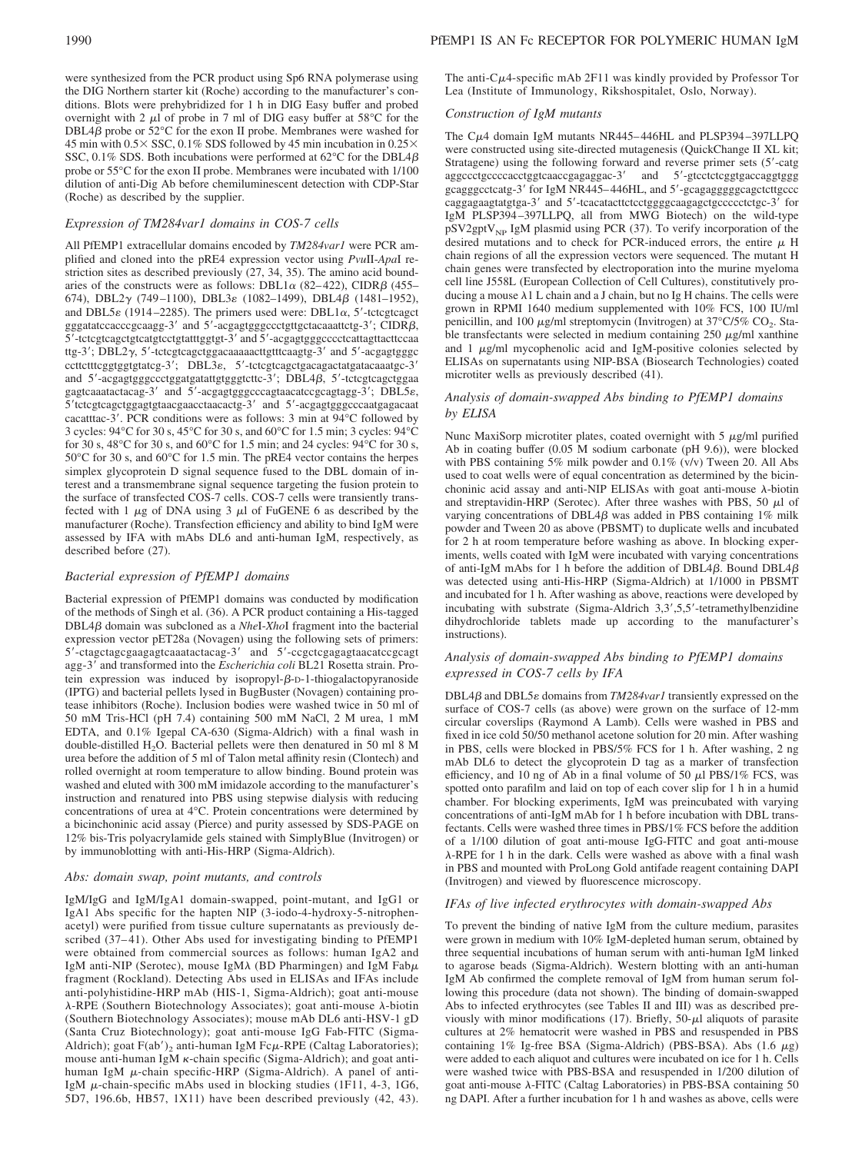dilution of anti-Dig Ab before chemiluminescent detection with CDP-Star

# *Expression of TM284var1 domains in COS-7 cells*

(Roche) as described by the supplier.

All PfEMP1 extracellular domains encoded by *TM284var1* were PCR amplified and cloned into the pRE4 expression vector using *Pvu*II-*Apa*I restriction sites as described previously (27, 34, 35). The amino acid boundaries of the constructs were as follows: DBL1 $\alpha$  (82–422), CIDR $\beta$  (455– 674), DBL2 $\gamma$  (749-1100), DBL3 $\varepsilon$  (1082-1499), DBL4 $\beta$  (1481-1952), and DBL5 $\varepsilon$  (1914–2285). The primers used were: DBL1 $\alpha$ , 5'-tctcgtcagct gggatatccacccgcaagg-3' and 5'-acgagtgggccctgttgctacaaattctg-3'; CIDR $\beta$ , 5'-tctcgtcagctgtcatgtcctgtatttggtgt-3' and 5'-acgagtgggcccctcattagttacttccaa ttg-3'; DBL2 $\gamma$ , 5'-tctcgtcagctggacaaaaacttgtttcaagtg-3' and 5'-acgagtgggc ccttctttcggtggtgtatcg-3'; DBL3 $\varepsilon$ , 5'-tctcgtcagctgacagactatgatacaaatgc-3' and  $5'$ -acgagtgggccctggatgatattgtgggtcttc-3'; DBL4 $\beta$ ,  $5'$ -tctcgtcagctggaa gagtcaaatactacag-3' and  $5'$ -acgagtgggcccagtaacatccgcagtagg-3'; DBL5 $\varepsilon$ , 5'tctcgtcagctggagtgtaacgaacctaacactg-3' and 5'-acgagtgggcccaatgagacaat cacatttac-3'. PCR conditions were as follows: 3 min at 94°C followed by 3 cycles: 94°C for 30 s, 45°C for 30 s, and 60°C for 1.5 min; 3 cycles: 94°C for 30 s, 48°C for 30 s, and 60°C for 1.5 min; and 24 cycles: 94°C for 30 s, 50°C for 30 s, and 60°C for 1.5 min. The pRE4 vector contains the herpes simplex glycoprotein D signal sequence fused to the DBL domain of interest and a transmembrane signal sequence targeting the fusion protein to the surface of transfected COS-7 cells. COS-7 cells were transiently transfected with 1  $\mu$ g of DNA using 3  $\mu$ l of FuGENE 6 as described by the manufacturer (Roche). Transfection efficiency and ability to bind IgM were assessed by IFA with mAbs DL6 and anti-human IgM, respectively, as described before (27).

## *Bacterial expression of PfEMP1 domains*

Bacterial expression of PfEMP1 domains was conducted by modification of the methods of Singh et al. (36). A PCR product containing a His-tagged DBL4β domain was subcloned as a *NheI-XhoI* fragment into the bacterial expression vector pET28a (Novagen) using the following sets of primers: 5'-ctagctagcgaagagtcaaatactacag-3' and 5'-ccgctcgagagtaacatccgcagt agg-3<sup>'</sup> and transformed into the *Escherichia coli* BL21 Rosetta strain. Protein expression was induced by isopropyl- $\beta$ -D-1-thiogalactopyranoside (IPTG) and bacterial pellets lysed in BugBuster (Novagen) containing protease inhibitors (Roche). Inclusion bodies were washed twice in 50 ml of 50 mM Tris-HCl (pH 7.4) containing 500 mM NaCl, 2 M urea, 1 mM EDTA, and 0.1% Igepal CA-630 (Sigma-Aldrich) with a final wash in double-distilled H<sub>2</sub>O. Bacterial pellets were then denatured in 50 ml 8 M urea before the addition of 5 ml of Talon metal affinity resin (Clontech) and rolled overnight at room temperature to allow binding. Bound protein was washed and eluted with 300 mM imidazole according to the manufacturer's instruction and renatured into PBS using stepwise dialysis with reducing concentrations of urea at 4°C. Protein concentrations were determined by a bicinchoninic acid assay (Pierce) and purity assessed by SDS-PAGE on 12% bis-Tris polyacrylamide gels stained with SimplyBlue (Invitrogen) or by immunoblotting with anti-His-HRP (Sigma-Aldrich).

#### *Abs: domain swap, point mutants, and controls*

IgM/IgG and IgM/IgA1 domain-swapped, point-mutant, and IgG1 or IgA1 Abs specific for the hapten NIP (3-iodo-4-hydroxy-5-nitrophenacetyl) were purified from tissue culture supernatants as previously described (37–41). Other Abs used for investigating binding to PfEMP1 were obtained from commercial sources as follows: human IgA2 and IgM anti-NIP (Serotec), mouse IgM $\lambda$  (BD Pharmingen) and IgM Fab $\mu$ fragment (Rockland). Detecting Abs used in ELISAs and IFAs include anti-polyhistidine-HRP mAb (HIS-1, Sigma-Aldrich); goat anti-mouse  $\lambda$ -RPE (Southern Biotechnology Associates); goat anti-mouse  $\lambda$ -biotin (Southern Biotechnology Associates); mouse mAb DL6 anti-HSV-1 gD (Santa Cruz Biotechnology); goat anti-mouse IgG Fab-FITC (Sigma-Aldrich); goat  $F(ab')_2$  anti-human IgM  $Fc\mu$ -RPE (Caltag Laboratories); mouse anti-human IgM  $\kappa$ -chain specific (Sigma-Aldrich); and goat antihuman IgM  $\mu$ -chain specific-HRP (Sigma-Aldrich). A panel of anti-IgM  $\mu$ -chain-specific mAbs used in blocking studies (1F11, 4-3, 1G6, 5D7, 196.6b, HB57, 1X11) have been described previously (42, 43).

The anti- $C\mu$ 4-specific mAb 2F11 was kindly provided by Professor Tor Lea (Institute of Immunology, Rikshospitalet, Oslo, Norway).

## *Construction of IgM mutants*

The Cµ4 domain IgM mutants NR445-446HL and PLSP394-397LLPQ were constructed using site-directed mutagenesis (QuickChange II XL kit; Stratagene) using the following forward and reverse primer sets (5-catg aggccctgccccacctggtcaaccgagaggac-3' and 5'-gtcctctcggtgaccaggtggg gcagggcctcatg-3' for IgM NR445–446HL, and 5'-gcagaggggggcagctcttgccc caggagaagtatgtga-3' and 5'-tcacatacttctcctggggcaagagctgccccctctgc-3' for IgM PLSP394 –397LLPQ, all from MWG Biotech) on the wild-type pSV2gptV<sub>NP</sub> IgM plasmid using PCR (37). To verify incorporation of the desired mutations and to check for PCR-induced errors, the entire  $\mu$  H chain regions of all the expression vectors were sequenced. The mutant H chain genes were transfected by electroporation into the murine myeloma cell line J558L (European Collection of Cell Cultures), constitutively producing a mouse  $\lambda$ 1 L chain and a J chain, but no Ig H chains. The cells were grown in RPMI 1640 medium supplemented with 10% FCS, 100 IU/ml penicillin, and 100  $\mu$ g/ml streptomycin (Invitrogen) at 37°C/5% CO<sub>2</sub>. Stable transfectants were selected in medium containing  $250 \mu g/ml$  xanthine and  $1 \mu g/ml$  mycophenolic acid and IgM-positive colonies selected by ELISAs on supernatants using NIP-BSA (Biosearch Technologies) coated microtiter wells as previously described (41).

## *Analysis of domain-swapped Abs binding to PfEMP1 domains by ELISA*

Nunc MaxiSorp microtiter plates, coated overnight with  $5 \mu g/ml$  purified Ab in coating buffer (0.05 M sodium carbonate (pH 9.6)), were blocked with PBS containing 5% milk powder and 0.1% (v/v) Tween 20. All Abs used to coat wells were of equal concentration as determined by the bicinchoninic acid assay and anti-NIP ELISAs with goat anti-mouse  $\lambda$ -biotin and streptavidin-HRP (Serotec). After three washes with PBS, 50  $\mu$ l of varying concentrations of DBL4 $\beta$  was added in PBS containing 1% milk powder and Tween 20 as above (PBSMT) to duplicate wells and incubated for 2 h at room temperature before washing as above. In blocking experiments, wells coated with IgM were incubated with varying concentrations of anti-IgM mAbs for 1 h before the addition of DBL4 $\beta$ . Bound DBL4 $\beta$ was detected using anti-His-HRP (Sigma-Aldrich) at 1/1000 in PBSMT and incubated for 1 h. After washing as above, reactions were developed by incubating with substrate (Sigma-Aldrich 3,3',5,5'-tetramethylbenzidine dihydrochloride tablets made up according to the manufacturer's instructions).

## *Analysis of domain-swapped Abs binding to PfEMP1 domains expressed in COS-7 cells by IFA*

DBL4β and DBL5*ε* domains from *TM284var1* transiently expressed on the surface of COS-7 cells (as above) were grown on the surface of 12-mm circular coverslips (Raymond A Lamb). Cells were washed in PBS and fixed in ice cold 50/50 methanol acetone solution for 20 min. After washing in PBS, cells were blocked in PBS/5% FCS for 1 h. After washing, 2 ng mAb DL6 to detect the glycoprotein D tag as a marker of transfection efficiency, and 10 ng of Ab in a final volume of 50  $\mu$ l PBS/1% FCS, was spotted onto parafilm and laid on top of each cover slip for 1 h in a humid chamber. For blocking experiments, IgM was preincubated with varying concentrations of anti-IgM mAb for 1 h before incubation with DBL transfectants. Cells were washed three times in PBS/1% FCS before the addition of a 1/100 dilution of goat anti-mouse IgG-FITC and goat anti-mouse -RPE for 1 h in the dark. Cells were washed as above with a final wash in PBS and mounted with ProLong Gold antifade reagent containing DAPI (Invitrogen) and viewed by fluorescence microscopy.

#### *IFAs of live infected erythrocytes with domain-swapped Abs*

To prevent the binding of native IgM from the culture medium, parasites were grown in medium with 10% IgM-depleted human serum, obtained by three sequential incubations of human serum with anti-human IgM linked to agarose beads (Sigma-Aldrich). Western blotting with an anti-human IgM Ab confirmed the complete removal of IgM from human serum following this procedure (data not shown). The binding of domain-swapped Abs to infected erythrocytes (see Tables II and III) was as described previously with minor modifications  $(17)$ . Briefly, 50- $\mu$ l aliquots of parasite cultures at 2% hematocrit were washed in PBS and resuspended in PBS containing  $1\%$  Ig-free BSA (Sigma-Aldrich) (PBS-BSA). Abs  $(1.6 \ \mu g)$ were added to each aliquot and cultures were incubated on ice for 1 h. Cells were washed twice with PBS-BSA and resuspended in 1/200 dilution of goat anti-mouse  $\lambda$ -FITC (Caltag Laboratories) in PBS-BSA containing 50 ng DAPI. After a further incubation for 1 h and washes as above, cells were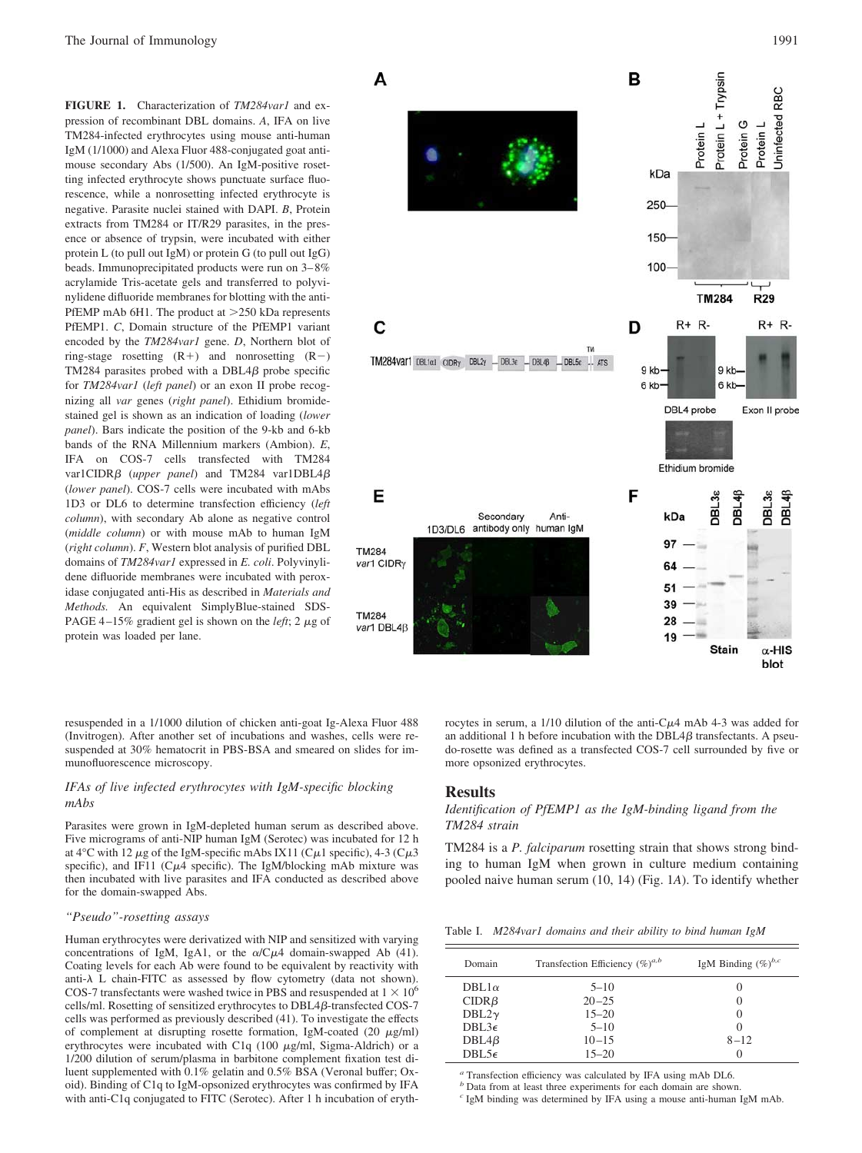**FIGURE 1.** Characterization of *TM284var1* and expression of recombinant DBL domains. *A*, IFA on live TM284-infected erythrocytes using mouse anti-human IgM (1/1000) and Alexa Fluor 488-conjugated goat antimouse secondary Abs (1/500). An IgM-positive rosetting infected erythrocyte shows punctuate surface fluorescence, while a nonrosetting infected erythrocyte is negative. Parasite nuclei stained with DAPI. *B*, Protein extracts from TM284 or IT/R29 parasites, in the presence or absence of trypsin, were incubated with either protein L (to pull out IgM) or protein G (to pull out IgG) beads. Immunoprecipitated products were run on 3– 8% acrylamide Tris-acetate gels and transferred to polyvinylidene difluoride membranes for blotting with the anti-PfEMP mAb 6H1. The product at  $>250$  kDa represents PfEMP1. *C*, Domain structure of the PfEMP1 variant encoded by the *TM284var1* gene. *D*, Northern blot of ring-stage rosetting  $(R+)$  and nonrosetting  $(R-)$ TM284 parasites probed with a DBL4 $\beta$  probe specific for *TM284var1* (*left panel*) or an exon II probe recognizing all *var* genes (*right panel*). Ethidium bromidestained gel is shown as an indication of loading (*lower panel*). Bars indicate the position of the 9-kb and 6-kb bands of the RNA Millennium markers (Ambion). *E*, IFA on COS-7 cells transfected with TM284 var1CIDR $\beta$  (*upper panel*) and TM284 var1DBL4 $\beta$ (*lower panel*). COS-7 cells were incubated with mAbs 1D3 or DL6 to determine transfection efficiency (*left column*), with secondary Ab alone as negative control (*middle column*) or with mouse mAb to human IgM (*right column*). *F*, Western blot analysis of purified DBL domains of *TM284var1* expressed in *E. coli*. Polyvinylidene difluoride membranes were incubated with peroxidase conjugated anti-His as described in *Materials and Methods.* An equivalent SimplyBlue-stained SDS-PAGE 4-15% gradient gel is shown on the *left*; 2  $\mu$ g of protein was loaded per lane.

resuspended in a 1/1000 dilution of chicken anti-goat Ig-Alexa Fluor 488 (Invitrogen). After another set of incubations and washes, cells were resuspended at 30% hematocrit in PBS-BSA and smeared on slides for immunofluorescence microscopy.

## *IFAs of live infected erythrocytes with IgM-specific blocking mAbs*

Parasites were grown in IgM-depleted human serum as described above. Five micrograms of anti-NIP human IgM (Serotec) was incubated for 12 h at  $4^{\circ}$ C with 12  $\mu$ g of the IgM-specific mAbs IX11 (C $\mu$ 1 specific), 4-3 (C $\mu$ 3 specific), and IF11 ( $C\mu$ 4 specific). The IgM/blocking mAb mixture was then incubated with live parasites and IFA conducted as described above for the domain-swapped Abs.

#### *"Pseudo"-rosetting assays*

Human erythrocytes were derivatized with NIP and sensitized with varying concentrations of IgM, IgA1, or the  $\alpha$ /C $\mu$ 4 domain-swapped Ab (41). Coating levels for each Ab were found to be equivalent by reactivity with anti- $\lambda$  L chain-FITC as assessed by flow cytometry (data not shown). COS-7 transfectants were washed twice in PBS and resuspended at  $1 \times 10^6$ cells/ml. Rosetting of sensitized erythrocytes to DBL4ß-transfected COS-7 cells was performed as previously described (41). To investigate the effects of complement at disrupting rosette formation, IgM-coated  $(20 \mu g/ml)$ erythrocytes were incubated with C1q  $(100 \mu g/ml)$ , Sigma-Aldrich) or a 1/200 dilution of serum/plasma in barbitone complement fixation test diluent supplemented with 0.1% gelatin and 0.5% BSA (Veronal buffer; Oxoid). Binding of C1q to IgM-opsonized erythrocytes was confirmed by IFA with anti-C1q conjugated to FITC (Serotec). After 1 h incubation of eryth-



rocytes in serum, a  $1/10$  dilution of the anti-C $\mu$ 4 mAb 4-3 was added for an additional 1 h before incubation with the  $DBL4\beta$  transfectants. A pseudo-rosette was defined as a transfected COS-7 cell surrounded by five or more opsonized erythrocytes.

#### **Results**

*Identification of PfEMP1 as the IgM-binding ligand from the TM284 strain*

TM284 is a *P. falciparum* rosetting strain that shows strong binding to human IgM when grown in culture medium containing pooled naive human serum (10, 14) (Fig. 1*A*). To identify whether

Table I. *M284var1 domains and their ability to bind human IgM*

| Domain         | Transfection Efficiency $(\%)^{a,b}$ | IgM Binding $(\%)^{b,c}$ |  |
|----------------|--------------------------------------|--------------------------|--|
| DBL1 $\alpha$  | $5 - 10$                             | $\left( \right)$         |  |
| $CIDR\beta$    | $20 - 25$                            | 0                        |  |
| DBL2 $\gamma$  | $15 - 20$                            | $\left($                 |  |
| $DBL3\epsilon$ | $5 - 10$                             | 0                        |  |
| $DBL4\beta$    | $10 - 15$                            | $8 - 12$                 |  |
| $DBL5\epsilon$ | $15 - 20$                            | 0                        |  |

*<sup>a</sup>* Transfection efficiency was calculated by IFA using mAb DL6.

*<sup>b</sup>* Data from at least three experiments for each domain are shown.

*<sup>c</sup>* IgM binding was determined by IFA using a mouse anti-human IgM mAb.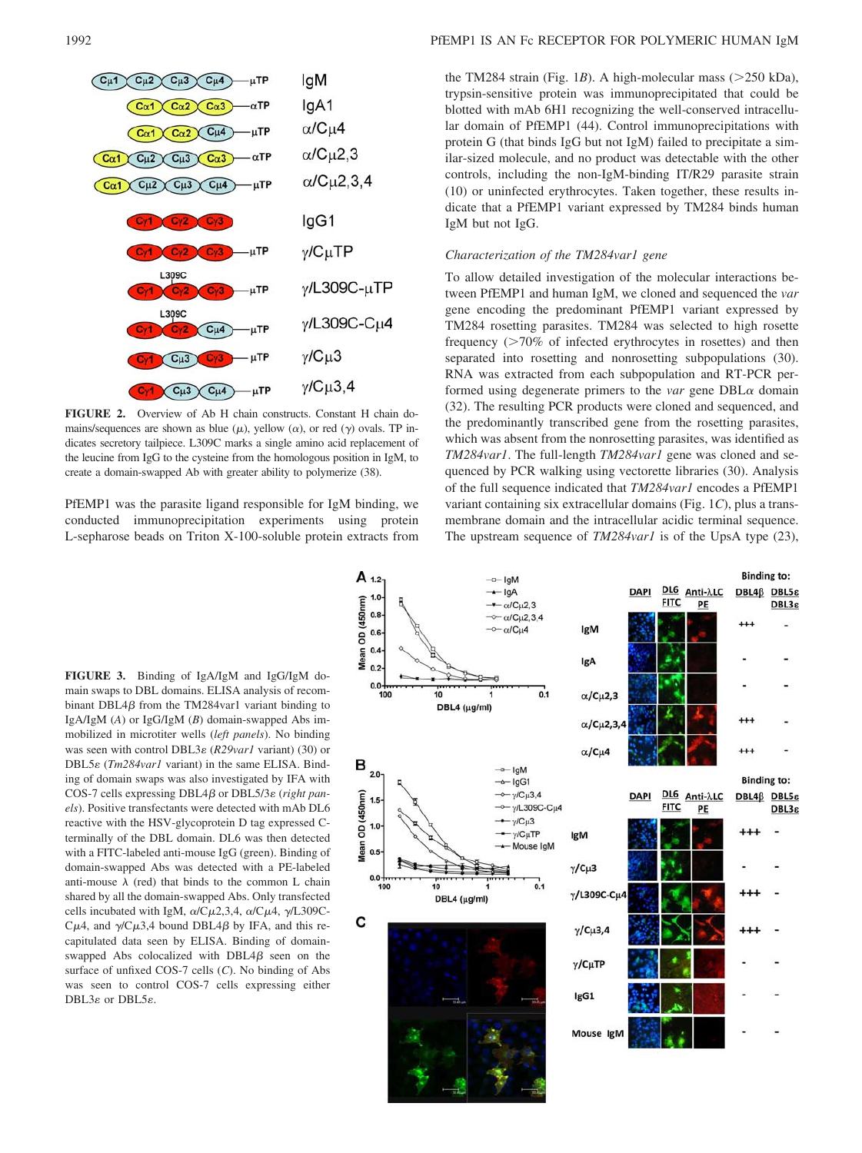

**FIGURE 2.** Overview of Ab H chain constructs. Constant H chain domains/sequences are shown as blue  $(\mu)$ , yellow  $(\alpha)$ , or red  $(\gamma)$  ovals. TP indicates secretory tailpiece. L309C marks a single amino acid replacement of the leucine from IgG to the cysteine from the homologous position in IgM, to create a domain-swapped Ab with greater ability to polymerize (38).

PfEMP1 was the parasite ligand responsible for IgM binding, we conducted immunoprecipitation experiments using protein L-sepharose beads on Triton X-100-soluble protein extracts from

**FIGURE 3.** Binding of IgA/IgM and IgG/IgM domain swaps to DBL domains. ELISA analysis of recombinant DBL4 $\beta$  from the TM284var1 variant binding to IgA/IgM (*A*) or IgG/IgM (*B*) domain-swapped Abs immobilized in microtiter wells (*left panels*). No binding was seen with control DBL3ε (*R29var1* variant) (30) or DBL5 $\varepsilon$  (*Tm284var1* variant) in the same ELISA. Binding of domain swaps was also investigated by IFA with COS-7 cells expressing DBL4β or DBL5/3ε (*right panels*). Positive transfectants were detected with mAb DL6 reactive with the HSV-glycoprotein D tag expressed Cterminally of the DBL domain. DL6 was then detected with a FITC-labeled anti-mouse IgG (green). Binding of domain-swapped Abs was detected with a PE-labeled anti-mouse  $\lambda$  (red) that binds to the common L chain shared by all the domain-swapped Abs. Only transfected cells incubated with IgM,  $\alpha$ /C $\mu$ 2,3,4,  $\alpha$ /C $\mu$ 4,  $\gamma$ /L309C-C $\mu$ 4, and  $\gamma$ /C $\mu$ 3,4 bound DBL4 $\beta$  by IFA, and this recapitulated data seen by ELISA. Binding of domainswapped Abs colocalized with  $DBL4\beta$  seen on the surface of unfixed COS-7 cells (*C*). No binding of Abs was seen to control COS-7 cells expressing either DBL3ε or DBL5ε.

the TM284 strain (Fig. 1*B*). A high-molecular mass ( $>$ 250 kDa), trypsin-sensitive protein was immunoprecipitated that could be blotted with mAb 6H1 recognizing the well-conserved intracellular domain of PfEMP1 (44). Control immunoprecipitations with protein G (that binds IgG but not IgM) failed to precipitate a similar-sized molecule, and no product was detectable with the other controls, including the non-IgM-binding IT/R29 parasite strain (10) or uninfected erythrocytes. Taken together, these results indicate that a PfEMP1 variant expressed by TM284 binds human IgM but not IgG.

## *Characterization of the TM284var1 gene*

To allow detailed investigation of the molecular interactions between PfEMP1 and human IgM, we cloned and sequenced the *var* gene encoding the predominant PfEMP1 variant expressed by TM284 rosetting parasites. TM284 was selected to high rosette frequency  $(270\% \text{ of infected erythrocytes in rosettes})$  and then separated into rosetting and nonrosetting subpopulations (30). RNA was extracted from each subpopulation and RT-PCR performed using degenerate primers to the *var* gene  $DBL\alpha$  domain (32). The resulting PCR products were cloned and sequenced, and the predominantly transcribed gene from the rosetting parasites, which was absent from the nonrosetting parasites, was identified as *TM284var1*. The full-length *TM284var1* gene was cloned and sequenced by PCR walking using vectorette libraries (30). Analysis of the full sequence indicated that *TM284var1* encodes a PfEMP1 variant containing six extracellular domains (Fig. 1*C*), plus a transmembrane domain and the intracellular acidic terminal sequence. The upstream sequence of *TM284var1* is of the UpsA type (23),

DBL3g

DBL3<sub>8</sub>

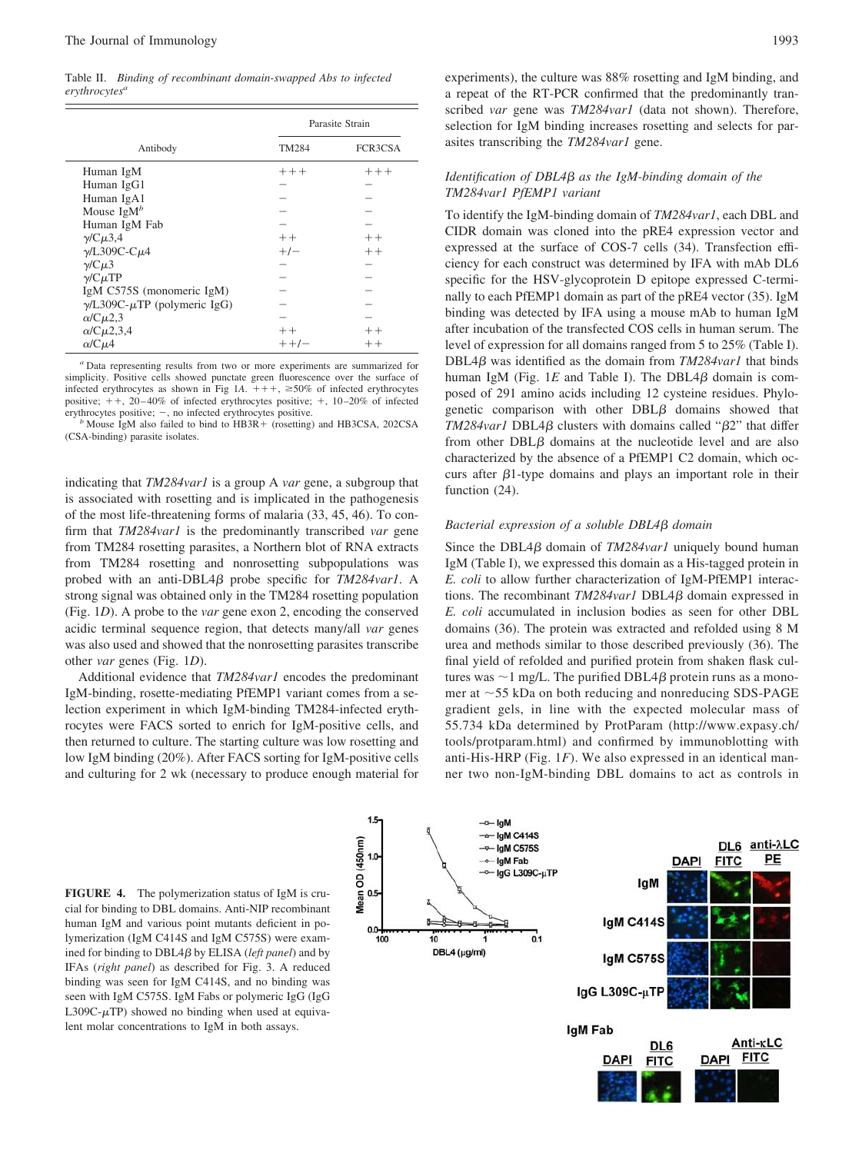Table II. *Binding of recombinant domain-swapped Abs to infected erythrocytesa*

|                                           | Parasite Strain |         |
|-------------------------------------------|-----------------|---------|
| Antibody                                  | <b>TM284</b>    | FCR3CSA |
| Human IgM                                 | $+++$           | $+++$   |
| Human IgG1                                |                 |         |
| Human IgA1                                |                 |         |
| Mouse $\text{IgM}^b$                      |                 |         |
| Human IgM Fab                             |                 |         |
| $\gamma$ /C $\mu$ 3,4                     | $++$            | $++$    |
| $\gamma$ /L309C-C $\mu$ 4                 | $+/-$           | $++$    |
| $\gamma$ /C $\mu$ 3                       |                 |         |
| $\gamma$ /C $\mu$ TP                      |                 |         |
| IgM C575S (monomeric IgM)                 |                 |         |
| $\gamma$ /L309C- $\mu$ TP (polymeric IgG) |                 |         |
| $\alpha$ /C $\mu$ 2,3                     |                 |         |
| $\alpha$ /C $\mu$ 2,3,4                   | $++$            | $++$    |
| $\alpha$ /C $\mu$ 4                       | $+ +/-$         | $^{++}$ |

*<sup>a</sup>* Data representing results from two or more experiments are summarized for simplicity. Positive cells showed punctate green fluorescence over the surface of infected erythrocytes as shown in Fig 1A.  $+++$ ,  $\geq$ 50% of infected erythrocytes positive;  $++$ , 20-40% of infected erythrocytes positive;  $+$ , 10-20% of infected erythrocytes positive; -, no infected erythrocytes positive.

 $b$  Mouse IgM also failed to bind to HB3R + (rosetting) and HB3CSA, 202CSA (CSA-binding) parasite isolates.

indicating that *TM284var1* is a group A *var* gene, a subgroup that is associated with rosetting and is implicated in the pathogenesis of the most life-threatening forms of malaria (33, 45, 46). To confirm that *TM284var1* is the predominantly transcribed *var* gene from TM284 rosetting parasites, a Northern blot of RNA extracts from TM284 rosetting and nonrosetting subpopulations was probed with an anti-DBL4 $\beta$  probe specific for *TM284var1*. A strong signal was obtained only in the TM284 rosetting population (Fig. 1*D*). A probe to the *var* gene exon 2, encoding the conserved acidic terminal sequence region, that detects many/all *var* genes was also used and showed that the nonrosetting parasites transcribe other *var* genes (Fig. 1*D*).

Additional evidence that *TM284var1* encodes the predominant IgM-binding, rosette-mediating PfEMP1 variant comes from a selection experiment in which IgM-binding TM284-infected erythrocytes were FACS sorted to enrich for IgM-positive cells, and then returned to culture. The starting culture was low rosetting and low IgM binding (20%). After FACS sorting for IgM-positive cells and culturing for 2 wk (necessary to produce enough material for experiments), the culture was 88% rosetting and IgM binding, and a repeat of the RT-PCR confirmed that the predominantly transcribed *var* gene was *TM284var1* (data not shown). Therefore, selection for IgM binding increases rosetting and selects for parasites transcribing the *TM284var1* gene.

## *Identification of DBL4 as the IgM-binding domain of the TM284var1 PfEMP1 variant*

To identify the IgM-binding domain of *TM284var1*, each DBL and CIDR domain was cloned into the pRE4 expression vector and expressed at the surface of COS-7 cells (34). Transfection efficiency for each construct was determined by IFA with mAb DL6 specific for the HSV-glycoprotein D epitope expressed C-terminally to each PfEMP1 domain as part of the pRE4 vector (35). IgM binding was detected by IFA using a mouse mAb to human IgM after incubation of the transfected COS cells in human serum. The level of expression for all domains ranged from 5 to 25% (Table I). DBL4 $\beta$  was identified as the domain from *TM284var1* that binds human IgM (Fig.  $1E$  and Table I). The DBL4 $\beta$  domain is composed of 291 amino acids including 12 cysteine residues. Phylogenetic comparison with other  $DBL\beta$  domains showed that *TM284var1* DBL4 $\beta$  clusters with domains called " $\beta$ 2" that differ from other  $DBL\beta$  domains at the nucleotide level and are also characterized by the absence of a PfEMP1 C2 domain, which occurs after  $\beta$ 1-type domains and plays an important role in their function (24).

#### *Bacterial expression of a soluble DBL4 domain*

Since the DBL4 $\beta$  domain of *TM284var1* uniquely bound human IgM (Table I), we expressed this domain as a His-tagged protein in *E. coli* to allow further characterization of IgM-PfEMP1 interactions. The recombinant *TM284var1* DBL4*B* domain expressed in *E. coli* accumulated in inclusion bodies as seen for other DBL domains (36). The protein was extracted and refolded using 8 M urea and methods similar to those described previously (36). The final yield of refolded and purified protein from shaken flask cultures was  $\sim$ 1 mg/L. The purified DBL4 $\beta$  protein runs as a monomer at  $\sim$  55 kDa on both reducing and nonreducing SDS-PAGE gradient gels, in line with the expected molecular mass of 55.734 kDa determined by ProtParam (http://www.expasy.ch/ tools/protparam.html) and confirmed by immunoblotting with anti-His-HRP (Fig. 1*F*). We also expressed in an identical manner two non-IgM-binding DBL domains to act as controls in

**FIGURE 4.** The polymerization status of IgM is crucial for binding to DBL domains. Anti-NIP recombinant human IgM and various point mutants deficient in polymerization (IgM C414S and IgM C575S) were examined for binding to DBL4 $\beta$  by ELISA (*left panel*) and by IFAs (*right panel*) as described for Fig. 3. A reduced binding was seen for IgM C414S, and no binding was seen with IgM C575S. IgM Fabs or polymeric IgG (IgG L309C- $\mu$ TP) showed no binding when used at equivalent molar concentrations to IgM in both assays.

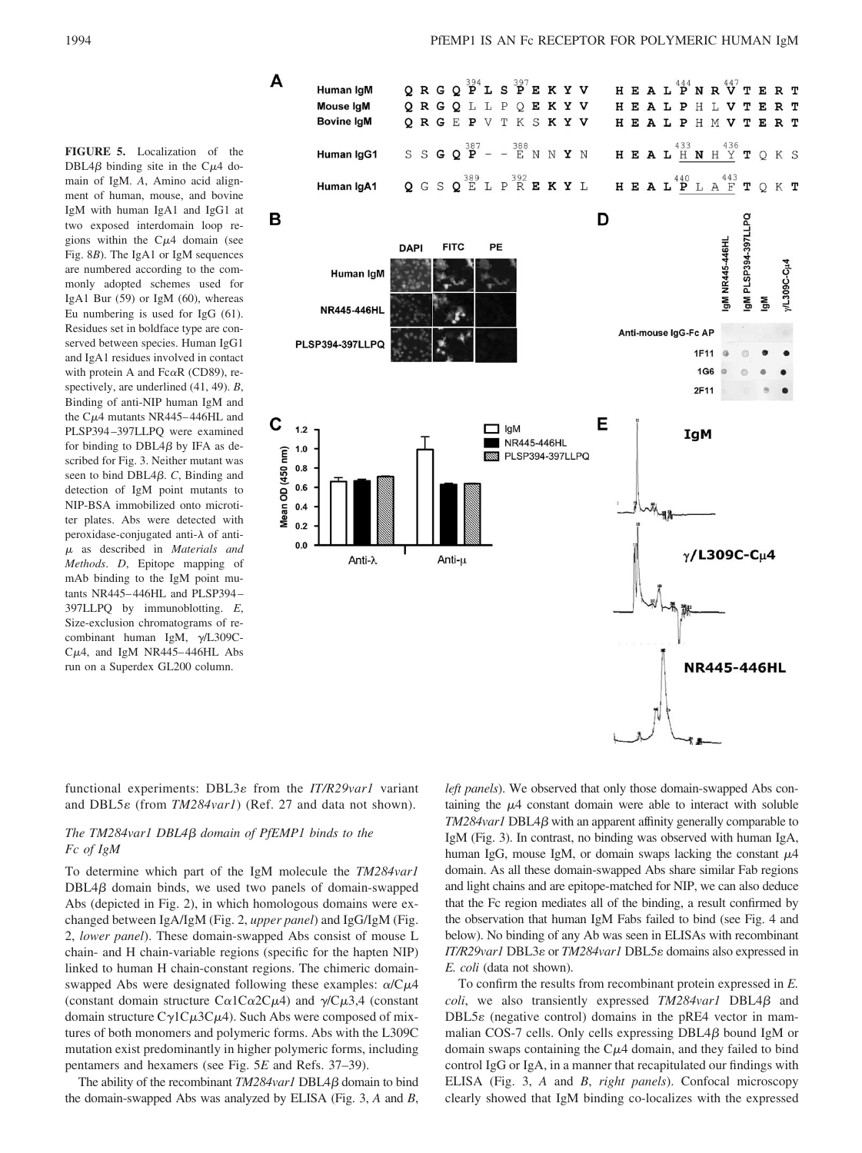**FIGURE 5.** Localization of the DBL4 $\beta$  binding site in the C $\mu$ 4 domain of IgM. *A*, Amino acid alignment of human, mouse, and bovine IgM with human IgA1 and IgG1 at two exposed interdomain loop regions within the  $C\mu$ 4 domain (see Fig. 8*B*). The IgA1 or IgM sequences are numbered according to the commonly adopted schemes used for IgA1 Bur (59) or IgM (60), whereas Eu numbering is used for IgG (61). Residues set in boldface type are conserved between species. Human IgG1 and IgA1 residues involved in contact with protein A and Fc $\alpha$ R (CD89), respectively, are underlined (41, 49). *B*, Binding of anti-NIP human IgM and the  $C\mu$ 4 mutants NR445–446HL and PLSP394 –397LLPQ were examined for binding to  $DBL4B$  by IFA as described for Fig. 3. Neither mutant was seen to bind DBL $4\beta$ . *C*, Binding and detection of IgM point mutants to NIP-BSA immobilized onto microtiter plates. Abs were detected with peroxidase-conjugated anti- $\lambda$  of anti-- as described in *Materials and Methods*. *D*, Epitope mapping of mAb binding to the IgM point mutants NR445– 446HL and PLSP394 – 397LLPQ by immunoblotting. *E*, Size-exclusion chromatograms of recombinant human IgM,  $\gamma$ /L309C- $C\mu$ 4, and IgM NR445–446HL Abs run on a Superdex GL200 column.

1994 **PHEMP1 IS AN FC RECEPTOR FOR POLYMERIC HUMAN IgM** 



functional experiments: DBL3 $\varepsilon$  from the *IT/R29var1* variant and DBL5 $\varepsilon$  (from *TM284var1*) (Ref. 27 and data not shown).

# *The TM284var1 DBL4 domain of PfEMP1 binds to the Fc of IgM*

To determine which part of the IgM molecule the *TM284var1*  $DBL4\beta$  domain binds, we used two panels of domain-swapped Abs (depicted in Fig. 2), in which homologous domains were exchanged between IgA/IgM (Fig. 2, *upper panel*) and IgG/IgM (Fig. 2, *lower panel*). These domain-swapped Abs consist of mouse L chain- and H chain-variable regions (specific for the hapten NIP) linked to human H chain-constant regions. The chimeric domainswapped Abs were designated following these examples:  $\alpha/C\mu4$ (constant domain structure C $\alpha$ 1C $\alpha$ 2C $\mu$ 4) and  $\gamma$ /C $\mu$ 3,4 (constant domain structure  $C\gamma$ 1C $\mu$ 3C $\mu$ 4). Such Abs were composed of mixtures of both monomers and polymeric forms. Abs with the L309C mutation exist predominantly in higher polymeric forms, including pentamers and hexamers (see Fig. 5*E* and Refs. 37–39).

The ability of the recombinant *TM284var1* DBL4 $\beta$  domain to bind the domain-swapped Abs was analyzed by ELISA (Fig. 3, *A* and *B*, *left panels*). We observed that only those domain-swapped Abs containing the  $\mu$ 4 constant domain were able to interact with soluble  $TM284$ *var1* DBL4 $\beta$  with an apparent affinity generally comparable to IgM (Fig. 3). In contrast, no binding was observed with human IgA, human IgG, mouse IgM, or domain swaps lacking the constant  $\mu$ 4 domain. As all these domain-swapped Abs share similar Fab regions and light chains and are epitope-matched for NIP, we can also deduce that the Fc region mediates all of the binding, a result confirmed by the observation that human IgM Fabs failed to bind (see Fig. 4 and below). No binding of any Ab was seen in ELISAs with recombinant *IT/R29var1* DBL3ε or *TM284var1* DBL5ε domains also expressed in *E. coli* (data not shown).

To confirm the results from recombinant protein expressed in *E. coli*, we also transiently expressed  $TM284var1$  DBL4 $\beta$  and DBL5 $\varepsilon$  (negative control) domains in the pRE4 vector in mammalian COS-7 cells. Only cells expressing  $DBL4\beta$  bound IgM or domain swaps containing the  $C<sub>\mu</sub>4$  domain, and they failed to bind control IgG or IgA, in a manner that recapitulated our findings with ELISA (Fig. 3, *A* and *B*, *right panels*). Confocal microscopy clearly showed that IgM binding co-localizes with the expressed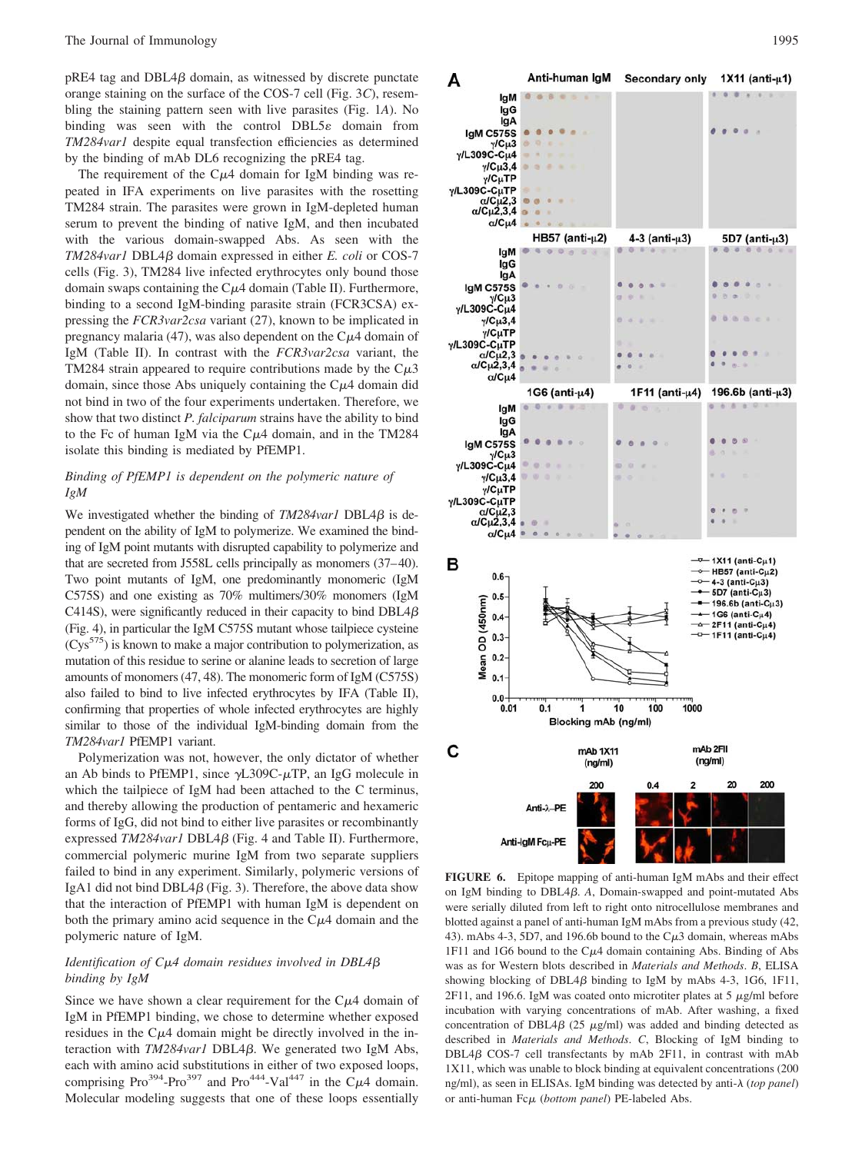$pRE4$  tag and  $DBL4\beta$  domain, as witnessed by discrete punctate orange staining on the surface of the COS-7 cell (Fig. 3*C*), resembling the staining pattern seen with live parasites (Fig. 1*A*). No binding was seen with the control  $DBL5\varepsilon$  domain from *TM284var1* despite equal transfection efficiencies as determined by the binding of mAb DL6 recognizing the pRE4 tag.

The requirement of the  $C\mu$ 4 domain for IgM binding was repeated in IFA experiments on live parasites with the rosetting TM284 strain. The parasites were grown in IgM-depleted human serum to prevent the binding of native IgM, and then incubated with the various domain-swapped Abs. As seen with the  $TM284$ var1 DBL4 $\beta$  domain expressed in either *E. coli* or COS-7 cells (Fig. 3), TM284 live infected erythrocytes only bound those domain swaps containing the  $C\mu$ 4 domain (Table II). Furthermore, binding to a second IgM-binding parasite strain (FCR3CSA) expressing the *FCR3var2csa* variant (27), known to be implicated in pregnancy malaria (47), was also dependent on the  $C\mu$ 4 domain of IgM (Table II). In contrast with the *FCR3var2csa* variant, the TM284 strain appeared to require contributions made by the  $C\mu 3$ domain, since those Abs uniquely containing the  $C<sub>\mu</sub>4$  domain did not bind in two of the four experiments undertaken. Therefore, we show that two distinct *P. falciparum* strains have the ability to bind to the Fc of human IgM via the  $C\mu$ 4 domain, and in the TM284 isolate this binding is mediated by PfEMP1.

# *Binding of PfEMP1 is dependent on the polymeric nature of IgM*

We investigated whether the binding of  $TM284$ varl DBL4 $\beta$  is dependent on the ability of IgM to polymerize. We examined the binding of IgM point mutants with disrupted capability to polymerize and that are secreted from J558L cells principally as monomers (37– 40). Two point mutants of IgM, one predominantly monomeric (IgM C575S) and one existing as 70% multimers/30% monomers (IgM C414S), were significantly reduced in their capacity to bind  $DBL4\beta$ (Fig. 4), in particular the IgM C575S mutant whose tailpiece cysteine (Cys575) is known to make a major contribution to polymerization, as mutation of this residue to serine or alanine leads to secretion of large amounts of monomers (47, 48). The monomeric form of IgM (C575S) also failed to bind to live infected erythrocytes by IFA (Table II), confirming that properties of whole infected erythrocytes are highly similar to those of the individual IgM-binding domain from the *TM284var1* PfEMP1 variant.

Polymerization was not, however, the only dictator of whether an Ab binds to PfEMP1, since  $\gamma$ L309C- $\mu$ TP, an IgG molecule in which the tailpiece of IgM had been attached to the C terminus, and thereby allowing the production of pentameric and hexameric forms of IgG, did not bind to either live parasites or recombinantly expressed *TM284var1* DBL4 $\beta$  (Fig. 4 and Table II). Furthermore, commercial polymeric murine IgM from two separate suppliers failed to bind in any experiment. Similarly, polymeric versions of IgA1 did not bind DBL4 $\beta$  (Fig. 3). Therefore, the above data show that the interaction of PfEMP1 with human IgM is dependent on both the primary amino acid sequence in the  $C<sub>\mu</sub>4$  domain and the polymeric nature of IgM.

## *Identification of C*-*4 domain residues involved in DBL4 binding by IgM*

Since we have shown a clear requirement for the  $C<sub>\mu</sub>4$  domain of IgM in PfEMP1 binding, we chose to determine whether exposed residues in the  $C\mu$ 4 domain might be directly involved in the interaction with *TM284var1* DBL4 $\beta$ . We generated two IgM Abs, each with amino acid substitutions in either of two exposed loops, comprising Pro<sup>394</sup>-Pro<sup>397</sup> and Pro<sup>444</sup>-Val<sup>447</sup> in the C $\mu$ 4 domain. Molecular modeling suggests that one of these loops essentially



**FIGURE 6.** Epitope mapping of anti-human IgM mAbs and their effect on IgM binding to DBL4 $\beta$ . *A*, Domain-swapped and point-mutated Abs were serially diluted from left to right onto nitrocellulose membranes and blotted against a panel of anti-human IgM mAbs from a previous study (42, 43). mAbs 4-3, 5D7, and 196.6b bound to the  $C\mu$ 3 domain, whereas mAbs 1F11 and 1G6 bound to the  $C\mu$ 4 domain containing Abs. Binding of Abs was as for Western blots described in *Materials and Methods*. *B*, ELISA showing blocking of DBL4 $\beta$  binding to IgM by mAbs 4-3, 1G6, 1F11,  $2F11$ , and 196.6. IgM was coated onto microtiter plates at 5  $\mu$ g/ml before incubation with varying concentrations of mAb. After washing, a fixed concentration of DBL4 $\beta$  (25  $\mu$ g/ml) was added and binding detected as described in *Materials and Methods*. *C*, Blocking of IgM binding to  $DBL4\beta$  COS-7 cell transfectants by mAb 2F11, in contrast with mAb 1X11, which was unable to block binding at equivalent concentrations (200 ng/ml), as seen in ELISAs. IgM binding was detected by anti- (*top panel*) or anti-human Fc $\mu$  (bottom panel) PE-labeled Abs.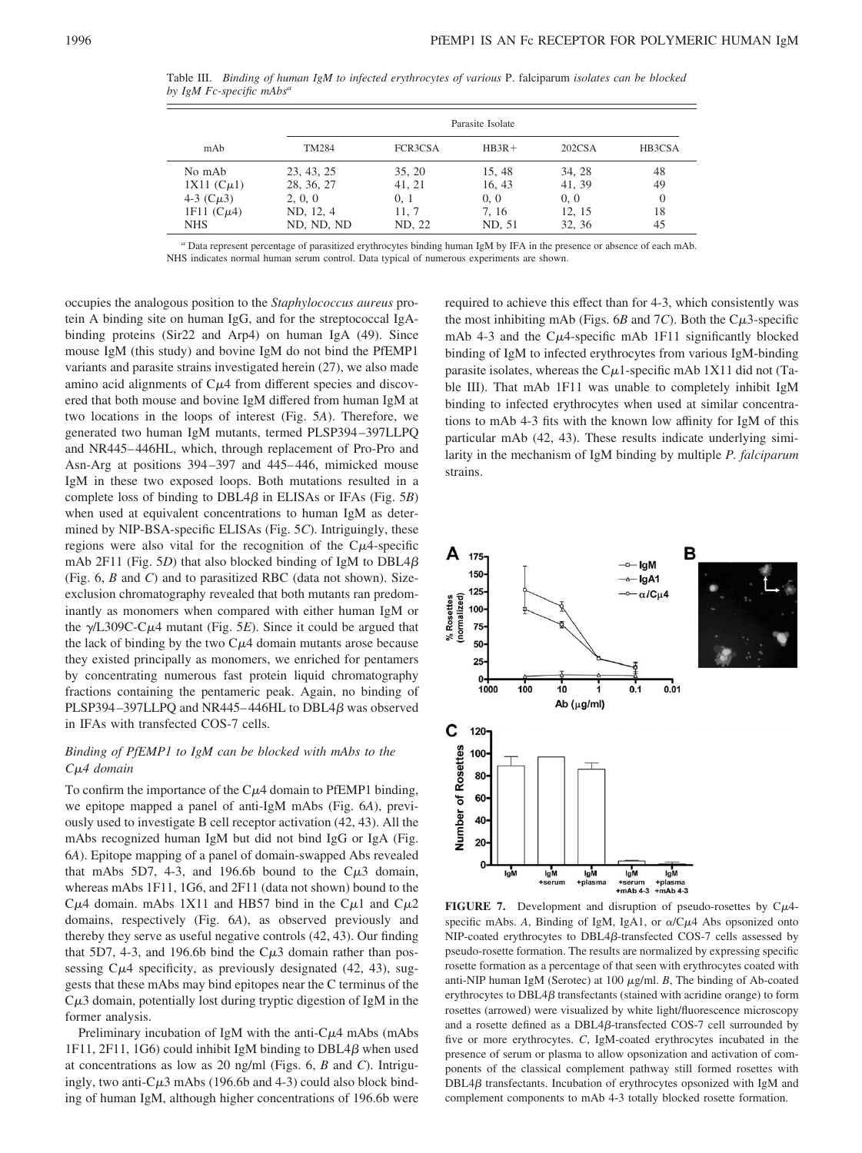Table III. *Binding of human IgM to infected erythrocytes of various* P. falciparum *isolates can be blocked by IgM Fc-specific mAbs<sup>a</sup>*

|                  | Parasite Isolate |         |         |        |        |  |
|------------------|------------------|---------|---------|--------|--------|--|
| mAb              | TM284            | FCR3CSA | $HB3R+$ | 202CSA | HB3CSA |  |
| No mAb           | 23, 43, 25       | 35, 20  | 15.48   | 34.28  | 48     |  |
| $1X11$ $(C\mu1)$ | 28, 36, 27       | 41, 21  | 16, 43  | 41, 39 | 49     |  |
| 4-3 $(C\mu 3)$   | 2, 0, 0          | 0, 1    | 0, 0    | 0, 0   | 0      |  |
| 1F11 $(C\mu4)$   | ND, 12, 4        | 11, 7   | 7.16    | 12, 15 | 18     |  |
| <b>NHS</b>       | ND, ND, ND       | ND, 22  | ND, 51  | 32, 36 | 45     |  |

*<sup>a</sup>* Data represent percentage of parasitized erythrocytes binding human IgM by IFA in the presence or absence of each mAb. NHS indicates normal human serum control. Data typical of numerous experiments are shown.

occupies the analogous position to the *Staphylococcus aureus* protein A binding site on human IgG, and for the streptococcal IgAbinding proteins (Sir22 and Arp4) on human IgA (49). Since mouse IgM (this study) and bovine IgM do not bind the PfEMP1 variants and parasite strains investigated herein (27), we also made amino acid alignments of  $C\mu$ 4 from different species and discovered that both mouse and bovine IgM differed from human IgM at two locations in the loops of interest (Fig. 5*A*). Therefore, we generated two human IgM mutants, termed PLSP394 –397LLPQ and NR445– 446HL, which, through replacement of Pro-Pro and Asn-Arg at positions 394 –397 and 445– 446, mimicked mouse IgM in these two exposed loops. Both mutations resulted in a complete loss of binding to  $DBL4\beta$  in ELISAs or IFAs (Fig. 5*B*) when used at equivalent concentrations to human IgM as determined by NIP-BSA-specific ELISAs (Fig. 5*C*). Intriguingly, these regions were also vital for the recognition of the  $C\mu$ 4-specific mAb 2F11 (Fig. 5*D*) that also blocked binding of IgM to DBL4 $\beta$ (Fig. 6, *B* and *C*) and to parasitized RBC (data not shown). Sizeexclusion chromatography revealed that both mutants ran predominantly as monomers when compared with either human IgM or the  $\gamma$ /L309C-C $\mu$ 4 mutant (Fig. 5*E*). Since it could be argued that the lack of binding by the two  $C\mu$ 4 domain mutants arose because they existed principally as monomers, we enriched for pentamers by concentrating numerous fast protein liquid chromatography fractions containing the pentameric peak. Again, no binding of PLSP394-397LLPQ and NR445-446HL to DBL4 $\beta$  was observed in IFAs with transfected COS-7 cells.

# *Binding of PfEMP1 to IgM can be blocked with mAbs to the C*-*4 domain*

To confirm the importance of the  $C\mu$ 4 domain to PfEMP1 binding, we epitope mapped a panel of anti-IgM mAbs (Fig. 6*A*), previously used to investigate B cell receptor activation (42, 43). All the mAbs recognized human IgM but did not bind IgG or IgA (Fig. 6*A*). Epitope mapping of a panel of domain-swapped Abs revealed that mAbs 5D7, 4-3, and 196.6b bound to the  $C\mu$ 3 domain, whereas mAbs 1F11, 1G6, and 2F11 (data not shown) bound to the C $\mu$ 4 domain. mAbs 1X11 and HB57 bind in the C $\mu$ 1 and C $\mu$ 2 domains, respectively (Fig. 6*A*), as observed previously and thereby they serve as useful negative controls (42, 43). Our finding that 5D7, 4-3, and 196.6b bind the  $C\mu$ 3 domain rather than possessing  $C\mu4$  specificity, as previously designated (42, 43), suggests that these mAbs may bind epitopes near the C terminus of the  $C\mu$ 3 domain, potentially lost during tryptic digestion of IgM in the former analysis.

Preliminary incubation of IgM with the anti- $C\mu$ 4 mAbs (mAbs 1F11, 2F11, 1G6) could inhibit IgM binding to  $DBL4\beta$  when used at concentrations as low as 20 ng/ml (Figs. 6, *B* and *C*). Intriguingly, two anti- $C\mu$ 3 mAbs (196.6b and 4-3) could also block binding of human IgM, although higher concentrations of 196.6b were required to achieve this effect than for 4-3, which consistently was the most inhibiting mAb (Figs.  $6B$  and  $7C$ ). Both the C $\mu$ 3-specific mAb 4-3 and the C $\mu$ 4-specific mAb 1F11 significantly blocked binding of IgM to infected erythrocytes from various IgM-binding parasite isolates, whereas the  $C\mu$ 1-specific mAb 1X11 did not (Table III). That mAb 1F11 was unable to completely inhibit IgM binding to infected erythrocytes when used at similar concentrations to mAb 4-3 fits with the known low affinity for IgM of this particular mAb (42, 43). These results indicate underlying similarity in the mechanism of IgM binding by multiple *P. falciparum* strains.



**FIGURE 7.** Development and disruption of pseudo-rosettes by  $C\mu$ 4specific mAbs. A, Binding of IgM, IgA1, or  $\alpha$ /C $\mu$ 4 Abs opsonized onto  $NIP$ -coated erythrocytes to  $DBL4\beta$ -transfected COS-7 cells assessed by pseudo-rosette formation. The results are normalized by expressing specific rosette formation as a percentage of that seen with erythrocytes coated with anti-NIP human IgM (Serotec) at  $100 \mu g/ml$ . *B*, The binding of Ab-coated erythrocytes to  $DBL4\beta$  transfectants (stained with acridine orange) to form rosettes (arrowed) were visualized by white light/fluorescence microscopy and a rosette defined as a DBL4ß-transfected COS-7 cell surrounded by five or more erythrocytes. *C*, IgM-coated erythrocytes incubated in the presence of serum or plasma to allow opsonization and activation of components of the classical complement pathway still formed rosettes with  $DBL4\beta$  transfectants. Incubation of erythrocytes opsonized with IgM and complement components to mAb 4-3 totally blocked rosette formation.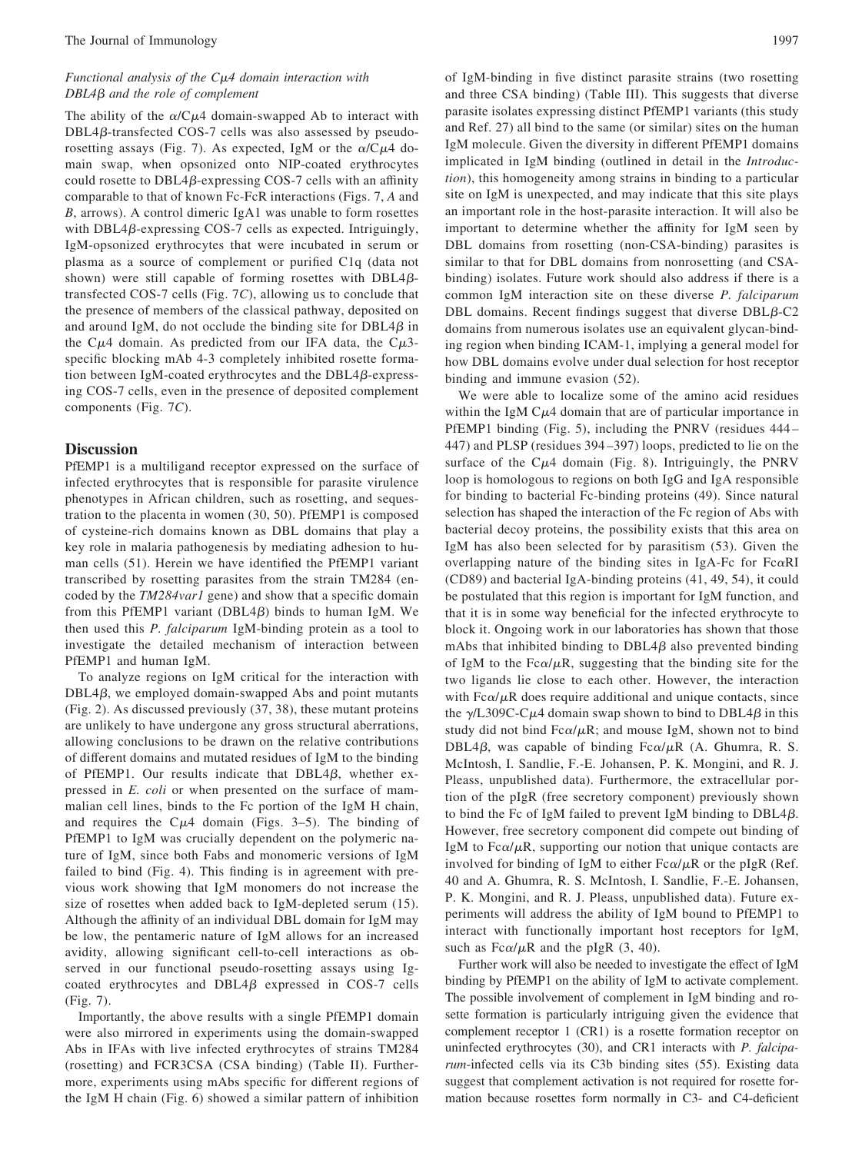## *Functional analysis of the C*-*4 domain interaction with DBL4β and the role of complement*

The ability of the  $\alpha$ /C $\mu$ 4 domain-swapped Ab to interact with  $DBL4\beta$ -transfected COS-7 cells was also assessed by pseudorosetting assays (Fig. 7). As expected, IgM or the  $\alpha$ /C $\mu$ 4 domain swap, when opsonized onto NIP-coated erythrocytes could rosette to  $DBL4\beta$ -expressing COS-7 cells with an affinity comparable to that of known Fc-FcR interactions (Figs. 7, *A* and *B*, arrows). A control dimeric IgA1 was unable to form rosettes with DBL4 $\beta$ -expressing COS-7 cells as expected. Intriguingly, IgM-opsonized erythrocytes that were incubated in serum or plasma as a source of complement or purified C1q (data not shown) were still capable of forming rosettes with  $DBL4\beta$ transfected COS-7 cells (Fig. 7*C*), allowing us to conclude that the presence of members of the classical pathway, deposited on and around IgM, do not occlude the binding site for  $DBL4\beta$  in the C $\mu$ 4 domain. As predicted from our IFA data, the C $\mu$ 3specific blocking mAb 4-3 completely inhibited rosette formation between IgM-coated erythrocytes and the  $DBL4\beta$ -expressing COS-7 cells, even in the presence of deposited complement components (Fig. 7*C*).

## **Discussion**

PfEMP1 is a multiligand receptor expressed on the surface of infected erythrocytes that is responsible for parasite virulence phenotypes in African children, such as rosetting, and sequestration to the placenta in women (30, 50). PfEMP1 is composed of cysteine-rich domains known as DBL domains that play a key role in malaria pathogenesis by mediating adhesion to human cells (51). Herein we have identified the PfEMP1 variant transcribed by rosetting parasites from the strain TM284 (encoded by the *TM284var1* gene) and show that a specific domain from this PfEMP1 variant (DBL4 $\beta$ ) binds to human IgM. We then used this *P. falciparum* IgM-binding protein as a tool to investigate the detailed mechanism of interaction between PfEMP1 and human IgM.

To analyze regions on IgM critical for the interaction with  $DBL4\beta$ , we employed domain-swapped Abs and point mutants (Fig. 2). As discussed previously (37, 38), these mutant proteins are unlikely to have undergone any gross structural aberrations, allowing conclusions to be drawn on the relative contributions of different domains and mutated residues of IgM to the binding of PfEMP1. Our results indicate that  $DBL4\beta$ , whether expressed in *E. coli* or when presented on the surface of mammalian cell lines, binds to the Fc portion of the IgM H chain, and requires the  $C\mu$ 4 domain (Figs. 3–5). The binding of PfEMP1 to IgM was crucially dependent on the polymeric nature of IgM, since both Fabs and monomeric versions of IgM failed to bind (Fig. 4). This finding is in agreement with previous work showing that IgM monomers do not increase the size of rosettes when added back to IgM-depleted serum (15). Although the affinity of an individual DBL domain for IgM may be low, the pentameric nature of IgM allows for an increased avidity, allowing significant cell-to-cell interactions as observed in our functional pseudo-rosetting assays using Igcoated erythrocytes and  $DBL4\beta$  expressed in COS-7 cells (Fig. 7).

Importantly, the above results with a single PfEMP1 domain were also mirrored in experiments using the domain-swapped Abs in IFAs with live infected erythrocytes of strains TM284 (rosetting) and FCR3CSA (CSA binding) (Table II). Furthermore, experiments using mAbs specific for different regions of the IgM H chain (Fig. 6) showed a similar pattern of inhibition of IgM-binding in five distinct parasite strains (two rosetting and three CSA binding) (Table III). This suggests that diverse parasite isolates expressing distinct PfEMP1 variants (this study and Ref. 27) all bind to the same (or similar) sites on the human IgM molecule. Given the diversity in different PfEMP1 domains implicated in IgM binding (outlined in detail in the *Introduction*), this homogeneity among strains in binding to a particular site on IgM is unexpected, and may indicate that this site plays an important role in the host-parasite interaction. It will also be important to determine whether the affinity for IgM seen by DBL domains from rosetting (non-CSA-binding) parasites is similar to that for DBL domains from nonrosetting (and CSAbinding) isolates. Future work should also address if there is a common IgM interaction site on these diverse *P. falciparum* DBL domains. Recent findings suggest that diverse  $DBL\beta$ -C2 domains from numerous isolates use an equivalent glycan-binding region when binding ICAM-1, implying a general model for how DBL domains evolve under dual selection for host receptor binding and immune evasion (52).

We were able to localize some of the amino acid residues within the IgM  $C\mu$ 4 domain that are of particular importance in PfEMP1 binding (Fig. 5), including the PNRV (residues 444 – 447) and PLSP (residues 394 –397) loops, predicted to lie on the surface of the  $C\mu4$  domain (Fig. 8). Intriguingly, the PNRV loop is homologous to regions on both IgG and IgA responsible for binding to bacterial Fc-binding proteins (49). Since natural selection has shaped the interaction of the Fc region of Abs with bacterial decoy proteins, the possibility exists that this area on IgM has also been selected for by parasitism (53). Given the overlapping nature of the binding sites in IgA-Fc for  $Fc\alpha RI$ (CD89) and bacterial IgA-binding proteins (41, 49, 54), it could be postulated that this region is important for IgM function, and that it is in some way beneficial for the infected erythrocyte to block it. Ongoing work in our laboratories has shown that those mAbs that inhibited binding to  $DBL4\beta$  also prevented binding of IgM to the Fc $\alpha/\mu$ R, suggesting that the binding site for the two ligands lie close to each other. However, the interaction with  $Fc\alpha/\mu R$  does require additional and unique contacts, since the  $\gamma$ /L309C-C $\mu$ 4 domain swap shown to bind to DBL4 $\beta$  in this study did not bind Fc $\alpha/\mu$ R; and mouse IgM, shown not to bind DBL4 $\beta$ , was capable of binding Fc $\alpha/\mu$ R (A. Ghumra, R. S. McIntosh, I. Sandlie, F.-E. Johansen, P. K. Mongini, and R. J. Pleass, unpublished data). Furthermore, the extracellular portion of the pIgR (free secretory component) previously shown to bind the Fc of IgM failed to prevent IgM binding to  $DBL4\beta$ . However, free secretory component did compete out binding of IgM to  $Fc\alpha/\mu R$ , supporting our notion that unique contacts are involved for binding of IgM to either  $Fc\alpha/\mu R$  or the pIgR (Ref. 40 and A. Ghumra, R. S. McIntosh, I. Sandlie, F.-E. Johansen, P. K. Mongini, and R. J. Pleass, unpublished data). Future experiments will address the ability of IgM bound to PfEMP1 to interact with functionally important host receptors for IgM, such as  $Fc\alpha/\mu R$  and the pIgR (3, 40).

Further work will also be needed to investigate the effect of IgM binding by PfEMP1 on the ability of IgM to activate complement. The possible involvement of complement in IgM binding and rosette formation is particularly intriguing given the evidence that complement receptor 1 (CR1) is a rosette formation receptor on uninfected erythrocytes (30), and CR1 interacts with *P. falciparum*-infected cells via its C3b binding sites (55). Existing data suggest that complement activation is not required for rosette formation because rosettes form normally in C3- and C4-deficient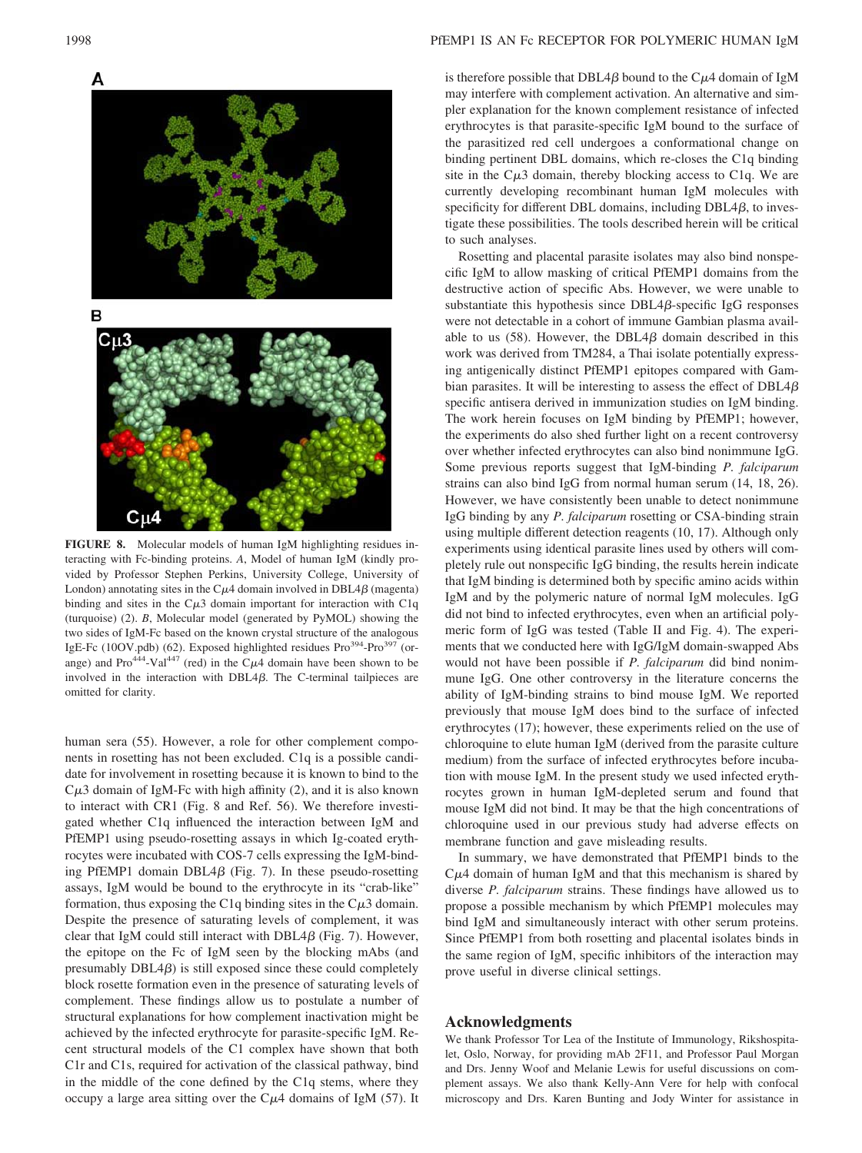

**FIGURE 8.** Molecular models of human IgM highlighting residues interacting with Fc-binding proteins. *A*, Model of human IgM (kindly provided by Professor Stephen Perkins, University College, University of London) annotating sites in the  $C\mu$ 4 domain involved in DBL4 $\beta$  (magenta) binding and sites in the  $C\mu 3$  domain important for interaction with C1q (turquoise) (2). *B*, Molecular model (generated by PyMOL) showing the two sides of IgM-Fc based on the known crystal structure of the analogous IgE-Fc (10OV.pdb) (62). Exposed highlighted residues Pro<sup>394</sup>-Pro<sup>397</sup> (orange) and  $Pro^{444}$ -Val<sup>447</sup> (red) in the C $\mu$ 4 domain have been shown to be involved in the interaction with  $DBL4\beta$ . The C-terminal tailpieces are omitted for clarity.

human sera (55). However, a role for other complement components in rosetting has not been excluded. C1q is a possible candidate for involvement in rosetting because it is known to bind to the  $C\mu$ 3 domain of IgM-Fc with high affinity (2), and it is also known to interact with CR1 (Fig. 8 and Ref. 56). We therefore investigated whether C1q influenced the interaction between IgM and PfEMP1 using pseudo-rosetting assays in which Ig-coated erythrocytes were incubated with COS-7 cells expressing the IgM-binding PfEMP1 domain DBL4 $\beta$  (Fig. 7). In these pseudo-rosetting assays, IgM would be bound to the erythrocyte in its "crab-like" formation, thus exposing the C1q binding sites in the  $C\mu$ 3 domain. Despite the presence of saturating levels of complement, it was clear that IgM could still interact with  $DBL4\beta$  (Fig. 7). However, the epitope on the Fc of IgM seen by the blocking mAbs (and presumably  $DBL4\beta$ ) is still exposed since these could completely block rosette formation even in the presence of saturating levels of complement. These findings allow us to postulate a number of structural explanations for how complement inactivation might be achieved by the infected erythrocyte for parasite-specific IgM. Recent structural models of the C1 complex have shown that both C1r and C1s, required for activation of the classical pathway, bind in the middle of the cone defined by the C1q stems, where they occupy a large area sitting over the  $C\mu$ 4 domains of IgM (57). It

#### 1998 PfEMP1 IS AN Fc RECEPTOR FOR POLYMERIC HUMAN IgM

is therefore possible that DBL4 $\beta$  bound to the C $\mu$ 4 domain of IgM may interfere with complement activation. An alternative and simpler explanation for the known complement resistance of infected erythrocytes is that parasite-specific IgM bound to the surface of the parasitized red cell undergoes a conformational change on binding pertinent DBL domains, which re-closes the C1q binding site in the  $C\mu 3$  domain, thereby blocking access to C1q. We are currently developing recombinant human IgM molecules with specificity for different DBL domains, including  $DBL4\beta$ , to investigate these possibilities. The tools described herein will be critical to such analyses.

Rosetting and placental parasite isolates may also bind nonspecific IgM to allow masking of critical PfEMP1 domains from the destructive action of specific Abs. However, we were unable to substantiate this hypothesis since  $DBL4\beta$ -specific IgG responses were not detectable in a cohort of immune Gambian plasma available to us  $(58)$ . However, the DBL4 $\beta$  domain described in this work was derived from TM284, a Thai isolate potentially expressing antigenically distinct PfEMP1 epitopes compared with Gambian parasites. It will be interesting to assess the effect of  $DBL4\beta$ specific antisera derived in immunization studies on IgM binding. The work herein focuses on IgM binding by PfEMP1; however, the experiments do also shed further light on a recent controversy over whether infected erythrocytes can also bind nonimmune IgG. Some previous reports suggest that IgM-binding *P. falciparum* strains can also bind IgG from normal human serum (14, 18, 26). However, we have consistently been unable to detect nonimmune IgG binding by any *P. falciparum* rosetting or CSA-binding strain using multiple different detection reagents (10, 17). Although only experiments using identical parasite lines used by others will completely rule out nonspecific IgG binding, the results herein indicate that IgM binding is determined both by specific amino acids within IgM and by the polymeric nature of normal IgM molecules. IgG did not bind to infected erythrocytes, even when an artificial polymeric form of IgG was tested (Table II and Fig. 4). The experiments that we conducted here with IgG/IgM domain-swapped Abs would not have been possible if *P. falciparum* did bind nonimmune IgG. One other controversy in the literature concerns the ability of IgM-binding strains to bind mouse IgM. We reported previously that mouse IgM does bind to the surface of infected erythrocytes (17); however, these experiments relied on the use of chloroquine to elute human IgM (derived from the parasite culture medium) from the surface of infected erythrocytes before incubation with mouse IgM. In the present study we used infected erythrocytes grown in human IgM-depleted serum and found that mouse IgM did not bind. It may be that the high concentrations of chloroquine used in our previous study had adverse effects on membrane function and gave misleading results.

In summary, we have demonstrated that PfEMP1 binds to the  $C\mu$ 4 domain of human IgM and that this mechanism is shared by diverse *P. falciparum* strains. These findings have allowed us to propose a possible mechanism by which PfEMP1 molecules may bind IgM and simultaneously interact with other serum proteins. Since PfEMP1 from both rosetting and placental isolates binds in the same region of IgM, specific inhibitors of the interaction may prove useful in diverse clinical settings.

## **Acknowledgments**

We thank Professor Tor Lea of the Institute of Immunology, Rikshospitalet, Oslo, Norway, for providing mAb 2F11, and Professor Paul Morgan and Drs. Jenny Woof and Melanie Lewis for useful discussions on complement assays. We also thank Kelly-Ann Vere for help with confocal microscopy and Drs. Karen Bunting and Jody Winter for assistance in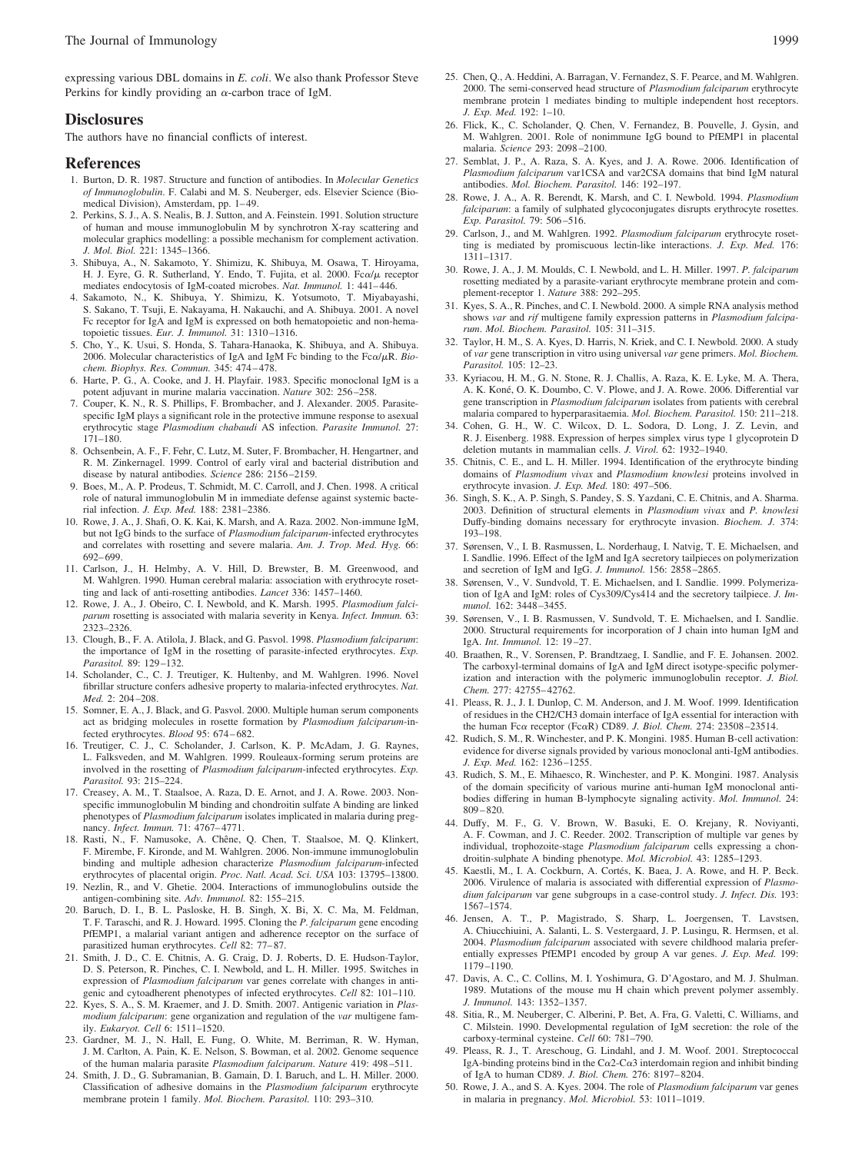expressing various DBL domains in *E. coli*. We also thank Professor Steve Perkins for kindly providing an  $\alpha$ -carbon trace of IgM.

#### **Disclosures**

The authors have no financial conflicts of interest.

#### **References**

- 1. Burton, D. R. 1987. Structure and function of antibodies. In *Molecular Genetics of Immunoglobulin*. F. Calabi and M. S. Neuberger, eds. Elsevier Science (Biomedical Division), Amsterdam, pp. 1-49.
- 2. Perkins, S. J., A. S. Nealis, B. J. Sutton, and A. Feinstein. 1991. Solution structure of human and mouse immunoglobulin M by synchrotron X-ray scattering and molecular graphics modelling: a possible mechanism for complement activation. *J. Mol. Biol.* 221: 1345–1366.
- 3. Shibuya, A., N. Sakamoto, Y. Shimizu, K. Shibuya, M. Osawa, T. Hiroyama, H. J. Eyre, G. R. Sutherland, Y. Endo, T. Fujita, et al. 2000. Fca/ $\mu$  receptor mediates endocytosis of IgM-coated microbes. Nat. Immunol. 1: 441-446.
- 4. Sakamoto, N., K. Shibuya, Y. Shimizu, K. Yotsumoto, T. Miyabayashi, S. Sakano, T. Tsuji, E. Nakayama, H. Nakauchi, and A. Shibuya. 2001. A novel Fc receptor for IgA and IgM is expressed on both hematopoietic and non-hematopoietic tissues. *Eur. J. Immunol.* 31: 1310 –1316.
- 5. Cho, Y., K. Usui, S. Honda, S. Tahara-Hanaoka, K. Shibuya, and A. Shibuya. 2006. Molecular characteristics of IgA and IgM Fc binding to the Fc $\alpha/\mu$ R. *Biochem. Biophys. Res. Commun.* 345: 474 – 478.
- 6. Harte, P. G., A. Cooke, and J. H. Playfair. 1983. Specific monoclonal IgM is a potent adjuvant in murine malaria vaccination. *Nature* 302: 256 –258.
- 7. Couper, K. N., R. S. Phillips, F. Brombacher, and J. Alexander. 2005. Parasitespecific IgM plays a significant role in the protective immune response to asexual erythrocytic stage *Plasmodium chabaudi* AS infection. *Parasite Immunol.* 27: 171–180.
- 8. Ochsenbein, A. F., F. Fehr, C. Lutz, M. Suter, F. Brombacher, H. Hengartner, and R. M. Zinkernagel. 1999. Control of early viral and bacterial distribution and disease by natural antibodies. *Science* 286: 2156 –2159.
- 9. Boes, M., A. P. Prodeus, T. Schmidt, M. C. Carroll, and J. Chen. 1998. A critical role of natural immunoglobulin M in immediate defense against systemic bacterial infection. *J. Exp. Med.* 188: 2381–2386.
- 10. Rowe, J. A., J. Shafi, O. K. Kai, K. Marsh, and A. Raza. 2002. Non-immune IgM, but not IgG binds to the surface of *Plasmodium falciparum*-infected erythrocytes and correlates with rosetting and severe malaria. *Am. J. Trop. Med. Hyg.* 66: 692– 699.
- 11. Carlson, J., H. Helmby, A. V. Hill, D. Brewster, B. M. Greenwood, and M. Wahlgren. 1990. Human cerebral malaria: association with erythrocyte rosetting and lack of anti-rosetting antibodies. *Lancet* 336: 1457–1460.
- 12. Rowe, J. A., J. Obeiro, C. I. Newbold, and K. Marsh. 1995. *Plasmodium falciparum* rosetting is associated with malaria severity in Kenya. *Infect. Immun.* 63: 2323–2326.
- 13. Clough, B., F. A. Atilola, J. Black, and G. Pasvol. 1998. *Plasmodium falciparum*: the importance of IgM in the rosetting of parasite-infected erythrocytes. *Exp. Parasitol.* 89: 129 –132.
- 14. Scholander, C., C. J. Treutiger, K. Hultenby, and M. Wahlgren. 1996. Novel fibrillar structure confers adhesive property to malaria-infected erythrocytes. *Nat. Med.* 2: 204 –208.
- 15. Somner, E. A., J. Black, and G. Pasvol. 2000. Multiple human serum components act as bridging molecules in rosette formation by *Plasmodium falciparum*-infected erythrocytes. *Blood* 95: 674 – 682.
- 16. Treutiger, C. J., C. Scholander, J. Carlson, K. P. McAdam, J. G. Raynes, L. Falksveden, and M. Wahlgren. 1999. Rouleaux-forming serum proteins are involved in the rosetting of *Plasmodium falciparum*-infected erythrocytes. *Exp. Parasitol.* 93: 215–224.
- 17. Creasey, A. M., T. Staalsoe, A. Raza, D. E. Arnot, and J. A. Rowe. 2003. Nonspecific immunoglobulin M binding and chondroitin sulfate A binding are linked phenotypes of *Plasmodium falciparum* isolates implicated in malaria during pregnancy. *Infect. Immun.* 71: 4767– 4771.
- 18. Rasti, N., F. Namusoke, A. Chêne, Q. Chen, T. Staalsoe, M. Q. Klinkert, F. Mirembe, F. Kironde, and M. Wahlgren. 2006. Non-immune immunoglobulin binding and multiple adhesion characterize *Plasmodium falciparum*-infected erythrocytes of placental origin. *Proc. Natl. Acad. Sci. USA* 103: 13795–13800.
- 19. Nezlin, R., and V. Ghetie. 2004. Interactions of immunoglobulins outside the antigen-combining site. *Adv. Immunol.* 82: 155–215.
- 20. Baruch, D. I., B. L. Pasloske, H. B. Singh, X. Bi, X. C. Ma, M. Feldman, T. F. Taraschi, and R. J. Howard. 1995. Cloning the *P. falciparum* gene encoding PfEMP1, a malarial variant antigen and adherence receptor on the surface of parasitized human erythrocytes. *Cell* 82: 77– 87.
- 21. Smith, J. D., C. E. Chitnis, A. G. Craig, D. J. Roberts, D. E. Hudson-Taylor, D. S. Peterson, R. Pinches, C. I. Newbold, and L. H. Miller. 1995. Switches in expression of *Plasmodium falciparum* var genes correlate with changes in antigenic and cytoadherent phenotypes of infected erythrocytes. *Cell* 82: 101–110.
- 22. Kyes, S. A., S. M. Kraemer, and J. D. Smith. 2007. Antigenic variation in *Plasmodium falciparum*: gene organization and regulation of the *var* multigene family. *Eukaryot. Cell* 6: 1511–1520.
- 23. Gardner, M. J., N. Hall, E. Fung, O. White, M. Berriman, R. W. Hyman, J. M. Carlton, A. Pain, K. E. Nelson, S. Bowman, et al. 2002. Genome sequence of the human malaria parasite *Plasmodium falciparum*. *Nature* 419: 498 –511.
- 24. Smith, J. D., G. Subramanian, B. Gamain, D. I. Baruch, and L. H. Miller. 2000. Classification of adhesive domains in the *Plasmodium falciparum* erythrocyte membrane protein 1 family. *Mol. Biochem. Parasitol.* 110: 293–310.
- 25. Chen, Q., A. Heddini, A. Barragan, V. Fernandez, S. F. Pearce, and M. Wahlgren. 2000. The semi-conserved head structure of *Plasmodium falciparum* erythrocyte membrane protein 1 mediates binding to multiple independent host receptors. *J. Exp. Med.* 192: 1–10.
- 26. Flick, K., C. Scholander, Q. Chen, V. Fernandez, B. Pouvelle, J. Gysin, and M. Wahlgren. 2001. Role of nonimmune IgG bound to PfEMP1 in placental malaria. *Science* 293: 2098 –2100.
- 27. Semblat, J. P., A. Raza, S. A. Kyes, and J. A. Rowe. 2006. Identification of *Plasmodium falciparum* var1CSA and var2CSA domains that bind IgM natural antibodies. *Mol. Biochem. Parasitol.* 146: 192–197.
- 28. Rowe, J. A., A. R. Berendt, K. Marsh, and C. I. Newbold. 1994. *Plasmodium falciparum*: a family of sulphated glycoconjugates disrupts erythrocyte rosettes. *Exp. Parasitol.* 79: 506 –516.
- 29. Carlson, J., and M. Wahlgren. 1992. *Plasmodium falciparum* erythrocyte rosetting is mediated by promiscuous lectin-like interactions. *J. Exp. Med.* 176: 1311–1317.
- 30. Rowe, J. A., J. M. Moulds, C. I. Newbold, and L. H. Miller. 1997. *P. falciparum* rosetting mediated by a parasite-variant erythrocyte membrane protein and complement-receptor 1. *Nature* 388: 292–295.
- 31. Kyes, S. A., R. Pinches, and C. I. Newbold. 2000. A simple RNA analysis method shows *var* and *rif* multigene family expression patterns in *Plasmodium falciparum*. *Mol. Biochem. Parasitol.* 105: 311–315.
- 32. Taylor, H. M., S. A. Kyes, D. Harris, N. Kriek, and C. I. Newbold. 2000. A study of *var* gene transcription in vitro using universal *var* gene primers. *Mol. Biochem. Parasitol.* 105: 12–23.
- 33. Kyriacou, H. M., G. N. Stone, R. J. Challis, A. Raza, K. E. Lyke, M. A. Thera, A. K. Koné, O. K. Doumbo, C. V. Plowe, and J. A. Rowe. 2006. Differential var gene transcription in *Plasmodium falciparum* isolates from patients with cerebral malaria compared to hyperparasitaemia. *Mol. Biochem. Parasitol.* 150: 211–218.
- 34. Cohen, G. H., W. C. Wilcox, D. L. Sodora, D. Long, J. Z. Levin, and R. J. Eisenberg. 1988. Expression of herpes simplex virus type 1 glycoprotein D deletion mutants in mammalian cells. *J. Virol.* 62: 1932–1940.
- 35. Chitnis, C. E., and L. H. Miller. 1994. Identification of the erythrocyte binding domains of *Plasmodium vivax* and *Plasmodium knowlesi* proteins involved in erythrocyte invasion. *J. Exp. Med.* 180: 497–506.
- 36. Singh, S. K., A. P. Singh, S. Pandey, S. S. Yazdani, C. E. Chitnis, and A. Sharma. 2003. Definition of structural elements in *Plasmodium vivax* and *P. knowlesi* Duffy-binding domains necessary for erythrocyte invasion. *Biochem. J.* 374: 193–198.
- 37. Sørensen, V., I. B. Rasmussen, L. Norderhaug, I. Natvig, T. E. Michaelsen, and I. Sandlie. 1996. Effect of the IgM and IgA secretory tailpieces on polymerization and secretion of IgM and IgG. *J. Immunol.* 156: 2858 –2865.
- 38. Sørensen, V., V. Sundvold, T. E. Michaelsen, and I. Sandlie. 1999. Polymerization of IgA and IgM: roles of Cys309/Cys414 and the secretory tailpiece. *J. Immunol.* 162: 3448 –3455.
- 39. Sørensen, V., I. B. Rasmussen, V. Sundvold, T. E. Michaelsen, and I. Sandlie. 2000. Structural requirements for incorporation of J chain into human IgM and IgA. *Int. Immunol.* 12: 19 –27.
- 40. Braathen, R., V. Sorensen, P. Brandtzaeg, I. Sandlie, and F. E. Johansen. 2002. The carboxyl-terminal domains of IgA and IgM direct isotype-specific polymerization and interaction with the polymeric immunoglobulin receptor. *J. Biol. Chem.* 277: 42755– 42762.
- 41. Pleass, R. J., J. I. Dunlop, C. M. Anderson, and J. M. Woof. 1999. Identification of residues in the CH2/CH3 domain interface of IgA essential for interaction with the human Fcα receptor (FcαR) CD89. *J. Biol. Chem.* 274: 23508-23514.
- 42. Rudich, S. M., R. Winchester, and P. K. Mongini. 1985. Human B-cell activation: evidence for diverse signals provided by various monoclonal anti-IgM antibodies. *J. Exp. Med.* 162: 1236 –1255.
- 43. Rudich, S. M., E. Mihaesco, R. Winchester, and P. K. Mongini. 1987. Analysis of the domain specificity of various murine anti-human IgM monoclonal antibodies differing in human B-lymphocyte signaling activity. *Mol. Immunol.* 24: 809 – 820.
- 44. Duffy, M. F., G. V. Brown, W. Basuki, E. O. Krejany, R. Noviyanti, A. F. Cowman, and J. C. Reeder. 2002. Transcription of multiple var genes by individual, trophozoite-stage *Plasmodium falciparum* cells expressing a chondroitin-sulphate A binding phenotype. *Mol. Microbiol.* 43: 1285–1293.
- 45. Kaestli, M., I. A. Cockburn, A. Cortés, K. Baea, J. A. Rowe, and H. P. Beck. 2006. Virulence of malaria is associated with differential expression of *Plasmodium falciparum* var gene subgroups in a case-control study. *J. Infect. Dis.* 193: 1567–1574.
- 46. Jensen, A. T., P. Magistrado, S. Sharp, L. Joergensen, T. Lavstsen, A. Chiucchiuini, A. Salanti, L. S. Vestergaard, J. P. Lusingu, R. Hermsen, et al. 2004. *Plasmodium falciparum* associated with severe childhood malaria preferentially expresses PfEMP1 encoded by group A var genes. *J. Exp. Med.* 199: 1179 –1190.
- 47. Davis, A. C., C. Collins, M. I. Yoshimura, G. D'Agostaro, and M. J. Shulman. 1989. Mutations of the mouse mu H chain which prevent polymer assembly. *J. Immunol.* 143: 1352–1357.
- 48. Sitia, R., M. Neuberger, C. Alberini, P. Bet, A. Fra, G. Valetti, C. Williams, and C. Milstein. 1990. Developmental regulation of IgM secretion: the role of the carboxy-terminal cysteine. *Cell* 60: 781–790.
- 49. Pleass, R. J., T. Areschoug, G. Lindahl, and J. M. Woof. 2001. Streptococcal IgA-binding proteins bind in the C $\alpha$ 2-C $\alpha$ 3 interdomain region and inhibit binding of IgA to human CD89. *J. Biol. Chem.* 276: 8197– 8204.
- 50. Rowe, J. A., and S. A. Kyes. 2004. The role of *Plasmodium falciparum* var genes in malaria in pregnancy. *Mol. Microbiol.* 53: 1011–1019.